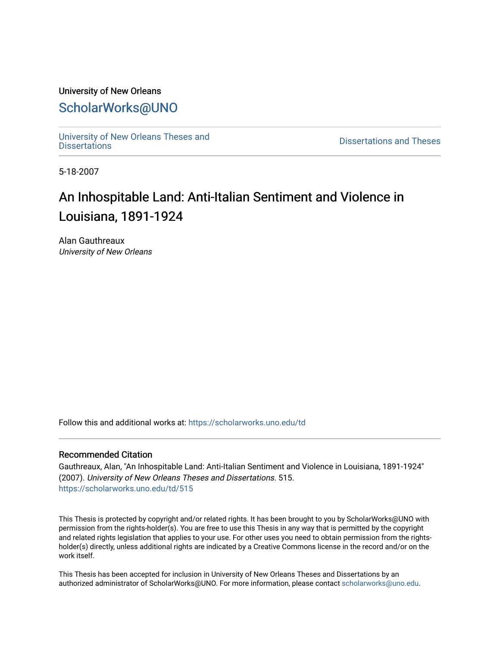# University of New Orleans [ScholarWorks@UNO](https://scholarworks.uno.edu/)

[University of New Orleans Theses and](https://scholarworks.uno.edu/td) 

[Dissertations](https://scholarworks.uno.edu/td) and Theses

5-18-2007

# An Inhospitable Land: Anti-Italian Sentiment and Violence in Louisiana, 1891-1924

Alan Gauthreaux University of New Orleans

Follow this and additional works at: [https://scholarworks.uno.edu/td](https://scholarworks.uno.edu/td?utm_source=scholarworks.uno.edu%2Ftd%2F515&utm_medium=PDF&utm_campaign=PDFCoverPages)

#### Recommended Citation

Gauthreaux, Alan, "An Inhospitable Land: Anti-Italian Sentiment and Violence in Louisiana, 1891-1924" (2007). University of New Orleans Theses and Dissertations. 515. [https://scholarworks.uno.edu/td/515](https://scholarworks.uno.edu/td/515?utm_source=scholarworks.uno.edu%2Ftd%2F515&utm_medium=PDF&utm_campaign=PDFCoverPages) 

This Thesis is protected by copyright and/or related rights. It has been brought to you by ScholarWorks@UNO with permission from the rights-holder(s). You are free to use this Thesis in any way that is permitted by the copyright and related rights legislation that applies to your use. For other uses you need to obtain permission from the rightsholder(s) directly, unless additional rights are indicated by a Creative Commons license in the record and/or on the work itself.

This Thesis has been accepted for inclusion in University of New Orleans Theses and Dissertations by an authorized administrator of ScholarWorks@UNO. For more information, please contact [scholarworks@uno.edu.](mailto:scholarworks@uno.edu)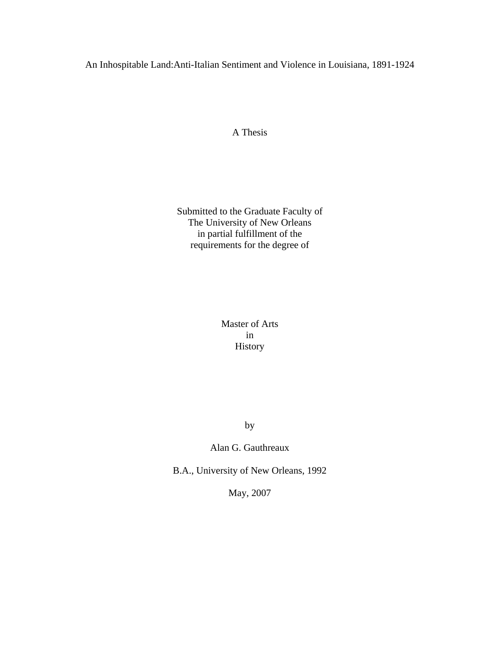An Inhospitable Land:Anti-Italian Sentiment and Violence in Louisiana, 1891-1924

A Thesis

Submitted to the Graduate Faculty of The University of New Orleans in partial fulfillment of the requirements for the degree of

> Master of Arts in History

> > by

Alan G. Gauthreaux

B.A., University of New Orleans, 1992

May, 2007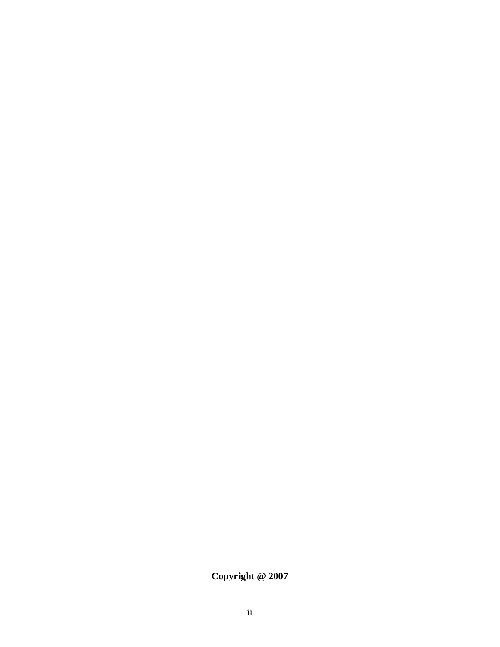**Copyright @ 2007**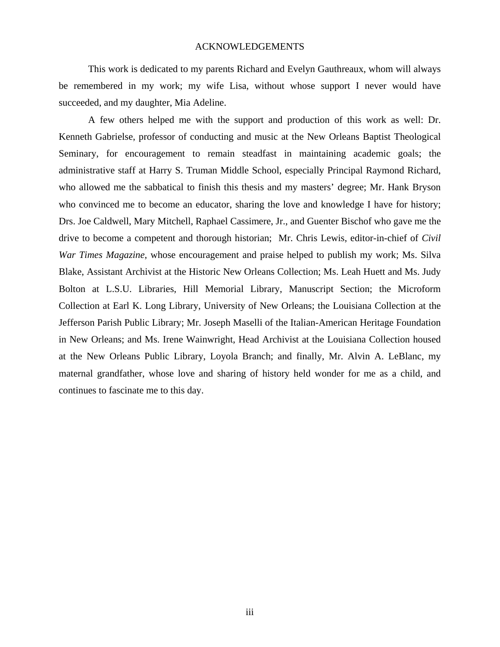#### ACKNOWLEDGEMENTS

 This work is dedicated to my parents Richard and Evelyn Gauthreaux, whom will always be remembered in my work; my wife Lisa, without whose support I never would have succeeded, and my daughter, Mia Adeline.

A few others helped me with the support and production of this work as well: Dr. Kenneth Gabrielse, professor of conducting and music at the New Orleans Baptist Theological Seminary, for encouragement to remain steadfast in maintaining academic goals; the administrative staff at Harry S. Truman Middle School, especially Principal Raymond Richard, who allowed me the sabbatical to finish this thesis and my masters' degree; Mr. Hank Bryson who convinced me to become an educator, sharing the love and knowledge I have for history; Drs. Joe Caldwell, Mary Mitchell, Raphael Cassimere, Jr., and Guenter Bischof who gave me the drive to become a competent and thorough historian; Mr. Chris Lewis, editor-in-chief of *Civil War Times Magazine*, whose encouragement and praise helped to publish my work; Ms. Silva Blake, Assistant Archivist at the Historic New Orleans Collection; Ms. Leah Huett and Ms. Judy Bolton at L.S.U. Libraries, Hill Memorial Library, Manuscript Section; the Microform Collection at Earl K. Long Library, University of New Orleans; the Louisiana Collection at the Jefferson Parish Public Library; Mr. Joseph Maselli of the Italian-American Heritage Foundation in New Orleans; and Ms. Irene Wainwright, Head Archivist at the Louisiana Collection housed at the New Orleans Public Library, Loyola Branch; and finally, Mr. Alvin A. LeBlanc, my maternal grandfather, whose love and sharing of history held wonder for me as a child, and continues to fascinate me to this day.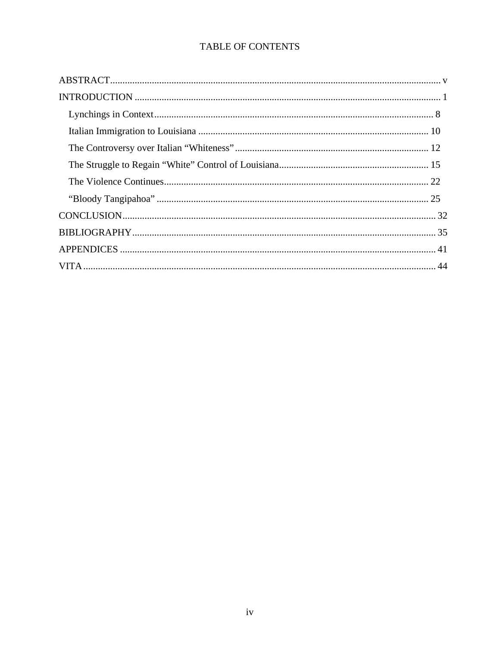# TABLE OF CONTENTS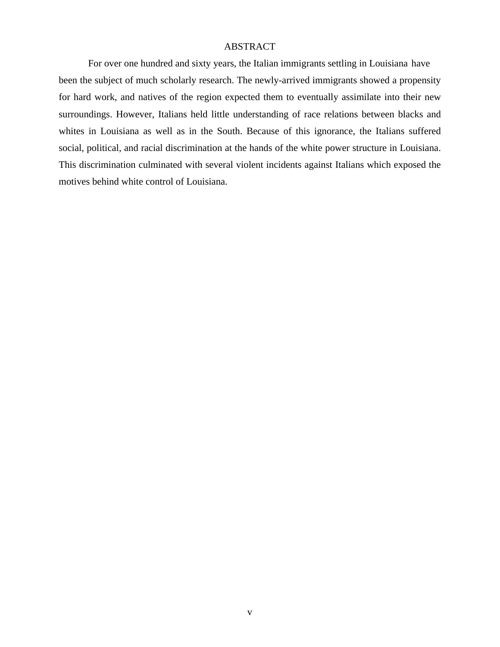### ABSTRACT

For over one hundred and sixty years, the Italian immigrants settling in Louisiana have been the subject of much scholarly research. The newly-arrived immigrants showed a propensity for hard work, and natives of the region expected them to eventually assimilate into their new surroundings. However, Italians held little understanding of race relations between blacks and whites in Louisiana as well as in the South. Because of this ignorance, the Italians suffered social, political, and racial discrimination at the hands of the white power structure in Louisiana. This discrimination culminated with several violent incidents against Italians which exposed the motives behind white control of Louisiana.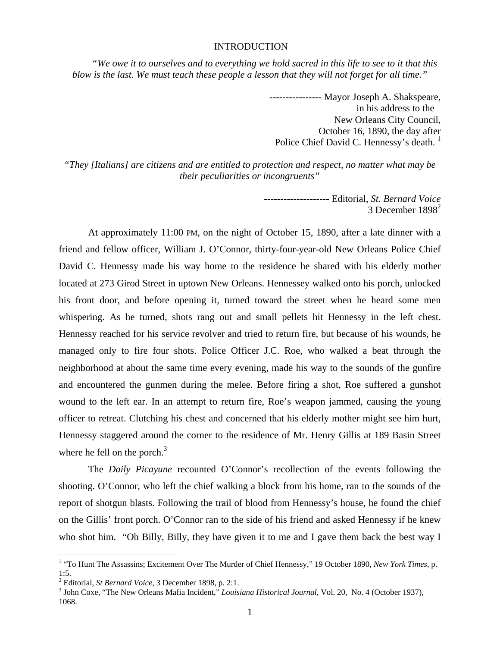#### INTRODUCTION

*"We owe it to ourselves and to everything we hold sacred in this life to see to it that this blow is the last. We must teach these people a lesson that they will not forget for all time."* 

> ---------------- Mayor Joseph A. Shakspeare, in his address to the New Orleans City Council, October 16, 1890, the day after Police Chief David C. Hennessy's death.<sup>1</sup>

*"They [Italians] are citizens and are entitled to protection and respect, no matter what may be their peculiarities or incongruents"* 

> -------------------- Editorial, *St. Bernard Voice*  3 December  $1898^2$

At approximately 11:00 PM, on the night of October 15, 1890, after a late dinner with a friend and fellow officer, William J. O'Connor, thirty-four-year-old New Orleans Police Chief David C. Hennessy made his way home to the residence he shared with his elderly mother located at 273 Girod Street in uptown New Orleans. Hennessey walked onto his porch, unlocked his front door, and before opening it, turned toward the street when he heard some men whispering. As he turned, shots rang out and small pellets hit Hennessy in the left chest. Hennessy reached for his service revolver and tried to return fire, but because of his wounds, he managed only to fire four shots. Police Officer J.C. Roe, who walked a beat through the neighborhood at about the same time every evening, made his way to the sounds of the gunfire and encountered the gunmen during the melee. Before firing a shot, Roe suffered a gunshot wound to the left ear. In an attempt to return fire, Roe's weapon jammed, causing the young officer to retreat. Clutching his chest and concerned that his elderly mother might see him hurt, Hennessy staggered around the corner to the residence of Mr. Henry Gillis at 189 Basin Street where he fell on the porch. $3$ 

The *Daily Picayune* recounted O'Connor's recollection of the events following the shooting. O'Connor, who left the chief walking a block from his home, ran to the sounds of the report of shotgun blasts. Following the trail of blood from Hennessy's house, he found the chief on the Gillis' front porch. O'Connor ran to the side of his friend and asked Hennessy if he knew who shot him. "Oh Billy, Billy, they have given it to me and I gave them back the best way I

 1 "To Hunt The Assassins; Excitement Over The Murder of Chief Hennessy," 19 October 1890, *New York Times*, p. 1:5.

<sup>&</sup>lt;sup>2</sup> Editorial, *St Bernard Voice*, 3 December 1898, p. 2:1.<br><sup>3</sup> John Cove, "The Naw Orleans Metic Insident," Lavis

<sup>&</sup>lt;sup>3</sup> John Coxe, "The New Orleans Mafia Incident," *Louisiana Historical Journal*, Vol. 20, No. 4 (October 1937), 1068.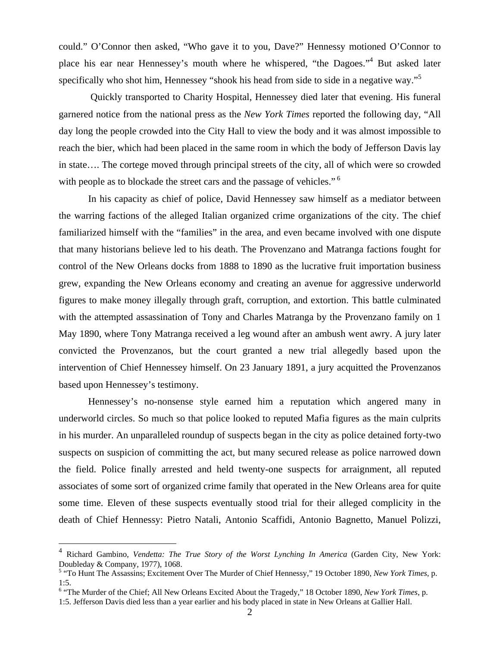could." O'Connor then asked, "Who gave it to you, Dave?" Hennessy motioned O'Connor to place his ear near Hennessey's mouth where he whispered, "the Dagoes."4 But asked later specifically who shot him, Hennessey "shook his head from side to side in a negative way."<sup>5</sup>

 Quickly transported to Charity Hospital, Hennessey died later that evening. His funeral garnered notice from the national press as the *New York Times* reported the following day, "All day long the people crowded into the City Hall to view the body and it was almost impossible to reach the bier, which had been placed in the same room in which the body of Jefferson Davis lay in state…. The cortege moved through principal streets of the city, all of which were so crowded with people as to blockade the street cars and the passage of vehicles."<sup>6</sup>

 In his capacity as chief of police, David Hennessey saw himself as a mediator between the warring factions of the alleged Italian organized crime organizations of the city. The chief familiarized himself with the "families" in the area, and even became involved with one dispute that many historians believe led to his death. The Provenzano and Matranga factions fought for control of the New Orleans docks from 1888 to 1890 as the lucrative fruit importation business grew, expanding the New Orleans economy and creating an avenue for aggressive underworld figures to make money illegally through graft, corruption, and extortion. This battle culminated with the attempted assassination of Tony and Charles Matranga by the Provenzano family on 1 May 1890, where Tony Matranga received a leg wound after an ambush went awry. A jury later convicted the Provenzanos, but the court granted a new trial allegedly based upon the intervention of Chief Hennessey himself. On 23 January 1891, a jury acquitted the Provenzanos based upon Hennessey's testimony.

Hennessey's no-nonsense style earned him a reputation which angered many in underworld circles. So much so that police looked to reputed Mafia figures as the main culprits in his murder. An unparalleled roundup of suspects began in the city as police detained forty-two suspects on suspicion of committing the act, but many secured release as police narrowed down the field. Police finally arrested and held twenty-one suspects for arraignment, all reputed associates of some sort of organized crime family that operated in the New Orleans area for quite some time. Eleven of these suspects eventually stood trial for their alleged complicity in the death of Chief Hennessy: Pietro Natali, Antonio Scaffidi, Antonio Bagnetto, Manuel Polizzi,

<sup>4</sup> Richard Gambino, *Vendetta: The True Story of the Worst Lynching In America* (Garden City, New York: Doubleday & Company, 1977), 1068.

<sup>&</sup>lt;sup>5</sup> "To Hunt The Assassins; Excitement Over The Murder of Chief Hennessy," 19 October 1890, *New York Times*, p. 1:5.

<sup>&</sup>lt;sup>6</sup> "The Murder of the Chief; All New Orleans Excited About the Tragedy," 18 October 1890, *New York Times*, p. 1:5. Jefferson Davis died less than a year earlier and his body placed in state in New Orleans at Gallier Hall.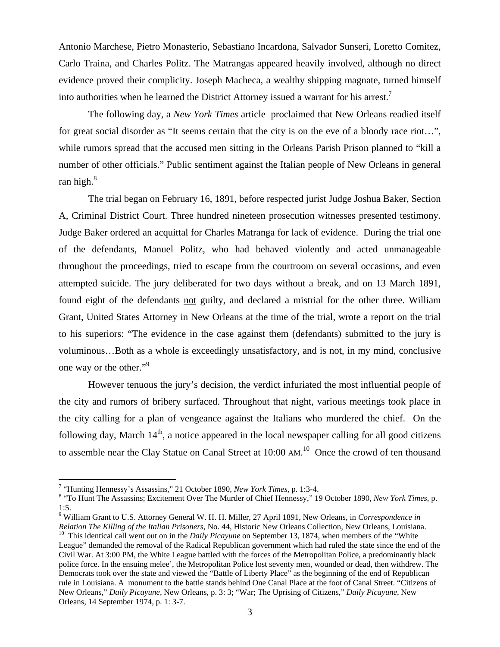Antonio Marchese, Pietro Monasterio, Sebastiano Incardona, Salvador Sunseri, Loretto Comitez, Carlo Traina, and Charles Politz. The Matrangas appeared heavily involved, although no direct evidence proved their complicity. Joseph Macheca, a wealthy shipping magnate, turned himself into authorities when he learned the District Attorney issued a warrant for his arrest.<sup>7</sup>

The following day, a *New York Times* article proclaimed that New Orleans readied itself for great social disorder as "It seems certain that the city is on the eve of a bloody race riot…", while rumors spread that the accused men sitting in the Orleans Parish Prison planned to "kill a number of other officials." Public sentiment against the Italian people of New Orleans in general ran high. $8$ 

The trial began on February 16, 1891, before respected jurist Judge Joshua Baker, Section A, Criminal District Court. Three hundred nineteen prosecution witnesses presented testimony. Judge Baker ordered an acquittal for Charles Matranga for lack of evidence. During the trial one of the defendants, Manuel Politz, who had behaved violently and acted unmanageable throughout the proceedings, tried to escape from the courtroom on several occasions, and even attempted suicide. The jury deliberated for two days without a break, and on 13 March 1891, found eight of the defendants not guilty, and declared a mistrial for the other three. William Grant, United States Attorney in New Orleans at the time of the trial, wrote a report on the trial to his superiors: "The evidence in the case against them (defendants) submitted to the jury is voluminous…Both as a whole is exceedingly unsatisfactory, and is not, in my mind, conclusive one way or the other."<sup>9</sup>

However tenuous the jury's decision, the verdict infuriated the most influential people of the city and rumors of bribery surfaced. Throughout that night, various meetings took place in the city calling for a plan of vengeance against the Italians who murdered the chief. On the following day, March  $14<sup>th</sup>$ , a notice appeared in the local newspaper calling for all good citizens to assemble near the Clay Statue on Canal Street at  $10:00$  AM.<sup>10</sup> Once the crowd of ten thousand

<sup>&</sup>lt;sup>7</sup> "Hunting Hennessy's Assassins," 21 October 1890, *New York Times*, p. 1:3-4.<br><sup>8</sup> "To Hunt The Assassins: Evertement Over The Murder of Chief Hennessy", 16

 <sup>&</sup>quot;To Hunt The Assassins; Excitement Over The Murder of Chief Hennessy," 19 October 1890, *New York Times*, p. 1:5.

<sup>9</sup> William Grant to U.S. Attorney General W. H. H. Miller, 27 April 1891, New Orleans, in *Correspondence in*  Relation The Killing of the Italian Prisoners, No. 44, Historic New Orleans Collection, New Orleans, Louisiana.<br><sup>10</sup> This identical call went out on in the *Daily Picayune* on September 13, 1874, when members of the "White

League" demanded the removal of the Radical Republican government which had ruled the state since the end of the Civil War. At 3:00 PM, the White League battled with the forces of the Metropolitan Police, a predominantly black police force. In the ensuing melee', the Metropolitan Police lost seventy men, wounded or dead, then withdrew. The Democrats took over the state and viewed the "Battle of Liberty Place" as the beginning of the end of Republican rule in Louisiana. A monument to the battle stands behind One Canal Place at the foot of Canal Street. "Citizens of New Orleans," *Daily Picayune,* New Orleans, p. 3: 3; "War; The Uprising of Citizens," *Daily Picayune,* New Orleans, 14 September 1974, p. 1: 3-7.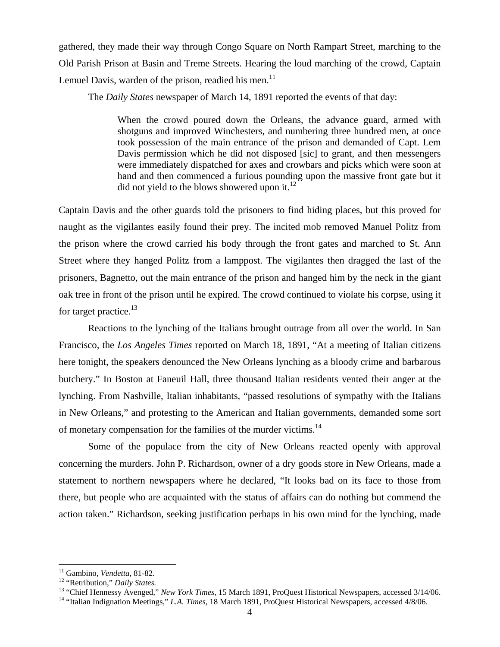gathered, they made their way through Congo Square on North Rampart Street, marching to the Old Parish Prison at Basin and Treme Streets. Hearing the loud marching of the crowd, Captain Lemuel Davis, warden of the prison, readied his men.<sup>11</sup>

The *Daily States* newspaper of March 14, 1891 reported the events of that day:

When the crowd poured down the Orleans, the advance guard, armed with shotguns and improved Winchesters, and numbering three hundred men, at once took possession of the main entrance of the prison and demanded of Capt. Lem Davis permission which he did not disposed [sic] to grant, and then messengers were immediately dispatched for axes and crowbars and picks which were soon at hand and then commenced a furious pounding upon the massive front gate but it did not yield to the blows showered upon it. $^{12}$ 

Captain Davis and the other guards told the prisoners to find hiding places, but this proved for naught as the vigilantes easily found their prey. The incited mob removed Manuel Politz from the prison where the crowd carried his body through the front gates and marched to St. Ann Street where they hanged Politz from a lamppost. The vigilantes then dragged the last of the prisoners, Bagnetto, out the main entrance of the prison and hanged him by the neck in the giant oak tree in front of the prison until he expired. The crowd continued to violate his corpse, using it for target practice.<sup>13</sup>

 Reactions to the lynching of the Italians brought outrage from all over the world. In San Francisco, the *Los Angeles Times* reported on March 18, 1891, "At a meeting of Italian citizens here tonight, the speakers denounced the New Orleans lynching as a bloody crime and barbarous butchery." In Boston at Faneuil Hall, three thousand Italian residents vented their anger at the lynching. From Nashville, Italian inhabitants, "passed resolutions of sympathy with the Italians in New Orleans," and protesting to the American and Italian governments, demanded some sort of monetary compensation for the families of the murder victims.14

Some of the populace from the city of New Orleans reacted openly with approval concerning the murders. John P. Richardson, owner of a dry goods store in New Orleans, made a statement to northern newspapers where he declared, "It looks bad on its face to those from there, but people who are acquainted with the status of affairs can do nothing but commend the action taken." Richardson, seeking justification perhaps in his own mind for the lynching, made

<sup>&</sup>lt;sup>11</sup> Gambino, Vendetta, 81-82.

<sup>&</sup>lt;sup>12</sup> "Retribution," *Daily States.*<br><sup>13</sup> "Chief Hennessy Avenged," *New York Times*, 15 March 1891, ProQuest Historical Newspapers, accessed 3/14/06.<br><sup>14</sup> "Italian Indignation Meetings," *L.A. Times*, 18 March 1891, ProQu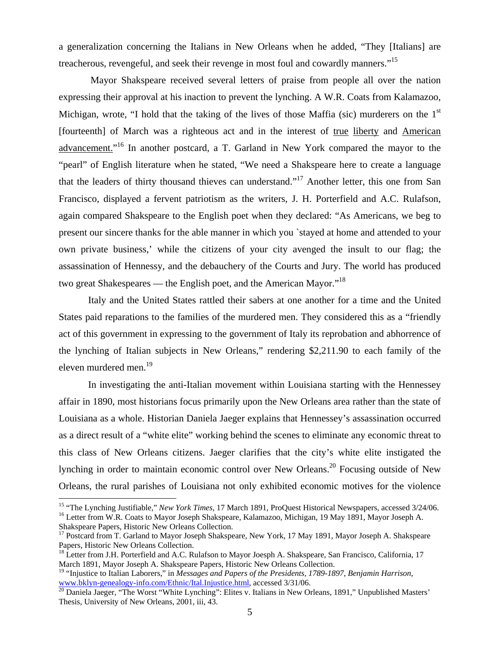a generalization concerning the Italians in New Orleans when he added, "They [Italians] are treacherous, revengeful, and seek their revenge in most foul and cowardly manners."<sup>15</sup>

 Mayor Shakspeare received several letters of praise from people all over the nation expressing their approval at his inaction to prevent the lynching. A W.R. Coats from Kalamazoo, Michigan, wrote, "I hold that the taking of the lives of those Maffia (sic) murderers on the  $1<sup>st</sup>$ [fourteenth] of March was a righteous act and in the interest of true liberty and American advancement."<sup>16</sup> In another postcard, a T. Garland in New York compared the mayor to the "pearl" of English literature when he stated, "We need a Shakspeare here to create a language that the leaders of thirty thousand thieves can understand."17 Another letter, this one from San Francisco, displayed a fervent patriotism as the writers, J. H. Porterfield and A.C. Rulafson, again compared Shakspeare to the English poet when they declared: "As Americans, we beg to present our sincere thanks for the able manner in which you `stayed at home and attended to your own private business,' while the citizens of your city avenged the insult to our flag; the assassination of Hennessy, and the debauchery of the Courts and Jury. The world has produced two great Shakespeares — the English poet, and the American Mayor."<sup>18</sup>

Italy and the United States rattled their sabers at one another for a time and the United States paid reparations to the families of the murdered men. They considered this as a "friendly act of this government in expressing to the government of Italy its reprobation and abhorrence of the lynching of Italian subjects in New Orleans," rendering \$2,211.90 to each family of the eleven murdered men.<sup>19</sup>

In investigating the anti-Italian movement within Louisiana starting with the Hennessey affair in 1890, most historians focus primarily upon the New Orleans area rather than the state of Louisiana as a whole. Historian Daniela Jaeger explains that Hennessey's assassination occurred as a direct result of a "white elite" working behind the scenes to eliminate any economic threat to this class of New Orleans citizens. Jaeger clarifies that the city's white elite instigated the lynching in order to maintain economic control over New Orleans.<sup>20</sup> Focusing outside of New Orleans, the rural parishes of Louisiana not only exhibited economic motives for the violence

1

<sup>&</sup>lt;sup>15</sup> "The Lynching Justifiable," *New York Times*, 17 March 1891, ProQuest Historical Newspapers, accessed 3/24/06.<br><sup>16</sup> Letter from W.R. Coats to Mayor Joseph Shakspeare, Kalamazoo, Michigan, 19 May 1891, Mayor Joseph A. Shakspeare Papers, Historic New Orleans Collection.

<sup>&</sup>lt;sup>17</sup> Postcard from T. Garland to Mayor Joseph Shakspeare, New York, 17 May 1891, Mayor Joseph A. Shakspeare Papers, Historic New Orleans Collection.

<sup>&</sup>lt;sup>18</sup> Letter from J.H. Porterfield and A.C. Rulafson to Mayor Joesph A. Shakspeare, San Francisco, California, 17 March 1891, Mayor Joseph A. Shakspeare Papers, Historic New Orleans Collection.

<sup>19 &</sup>quot;Injustice to Italian Laborers," in *Messages and Papers of the Presidents, 1789-1897, Benjamin Harrison*, www.bklyn-genealogy-info.com/Ethnic/Ital.Injustice.html, accessed 3/31/06.<br><sup>20</sup> Daniela Jaeger, "The Worst "White Lynching": Elites v. Italians in New Orleans, 1891," Unpublished Masters'

Thesis, University of New Orleans, 2001, iii, 43.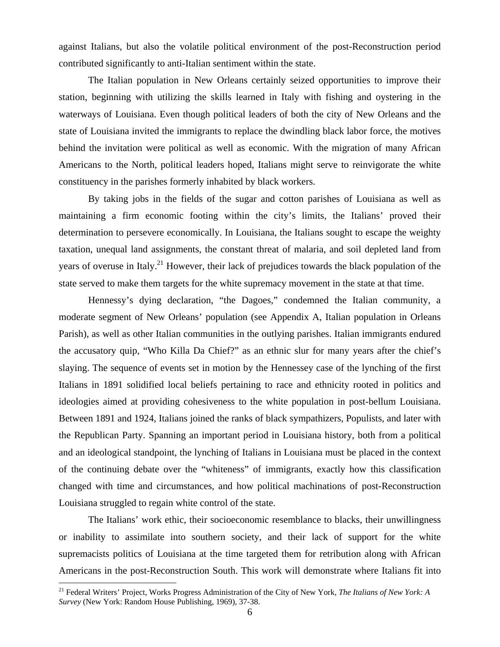against Italians, but also the volatile political environment of the post-Reconstruction period contributed significantly to anti-Italian sentiment within the state.

The Italian population in New Orleans certainly seized opportunities to improve their station, beginning with utilizing the skills learned in Italy with fishing and oystering in the waterways of Louisiana. Even though political leaders of both the city of New Orleans and the state of Louisiana invited the immigrants to replace the dwindling black labor force, the motives behind the invitation were political as well as economic. With the migration of many African Americans to the North, political leaders hoped, Italians might serve to reinvigorate the white constituency in the parishes formerly inhabited by black workers.

By taking jobs in the fields of the sugar and cotton parishes of Louisiana as well as maintaining a firm economic footing within the city's limits, the Italians' proved their determination to persevere economically. In Louisiana, the Italians sought to escape the weighty taxation, unequal land assignments, the constant threat of malaria, and soil depleted land from years of overuse in Italy.<sup>21</sup> However, their lack of prejudices towards the black population of the state served to make them targets for the white supremacy movement in the state at that time.

Hennessy's dying declaration, "the Dagoes," condemned the Italian community, a moderate segment of New Orleans' population (see Appendix A, Italian population in Orleans Parish), as well as other Italian communities in the outlying parishes. Italian immigrants endured the accusatory quip, "Who Killa Da Chief?" as an ethnic slur for many years after the chief's slaying. The sequence of events set in motion by the Hennessey case of the lynching of the first Italians in 1891 solidified local beliefs pertaining to race and ethnicity rooted in politics and ideologies aimed at providing cohesiveness to the white population in post-bellum Louisiana. Between 1891 and 1924, Italians joined the ranks of black sympathizers, Populists, and later with the Republican Party. Spanning an important period in Louisiana history, both from a political and an ideological standpoint, the lynching of Italians in Louisiana must be placed in the context of the continuing debate over the "whiteness" of immigrants, exactly how this classification changed with time and circumstances, and how political machinations of post-Reconstruction Louisiana struggled to regain white control of the state.

 The Italians' work ethic, their socioeconomic resemblance to blacks, their unwillingness or inability to assimilate into southern society, and their lack of support for the white supremacists politics of Louisiana at the time targeted them for retribution along with African Americans in the post-Reconstruction South. This work will demonstrate where Italians fit into

<sup>21</sup> Federal Writers' Project, Works Progress Administration of the City of New York, *The Italians of New York: A Survey* (New York: Random House Publishing, 1969), 37-38.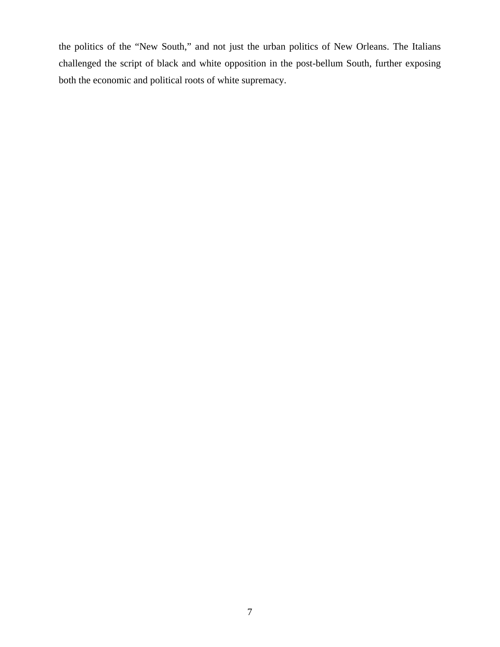the politics of the "New South," and not just the urban politics of New Orleans. The Italians challenged the script of black and white opposition in the post-bellum South, further exposing both the economic and political roots of white supremacy.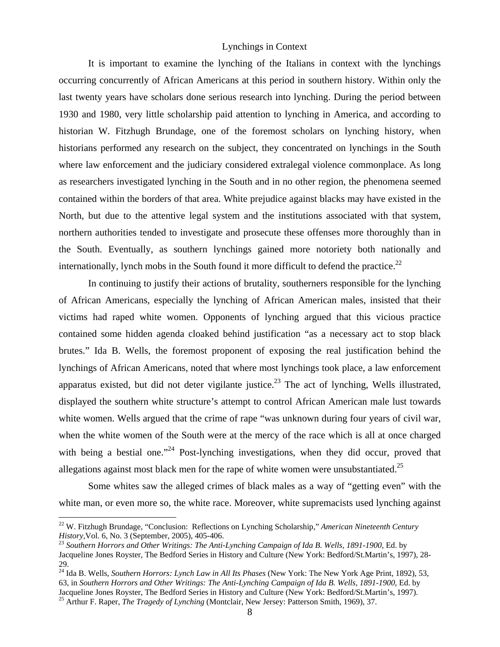## Lynchings in Context

It is important to examine the lynching of the Italians in context with the lynchings occurring concurrently of African Americans at this period in southern history. Within only the last twenty years have scholars done serious research into lynching. During the period between 1930 and 1980, very little scholarship paid attention to lynching in America, and according to historian W. Fitzhugh Brundage, one of the foremost scholars on lynching history, when historians performed any research on the subject, they concentrated on lynchings in the South where law enforcement and the judiciary considered extralegal violence commonplace. As long as researchers investigated lynching in the South and in no other region, the phenomena seemed contained within the borders of that area. White prejudice against blacks may have existed in the North, but due to the attentive legal system and the institutions associated with that system, northern authorities tended to investigate and prosecute these offenses more thoroughly than in the South. Eventually, as southern lynchings gained more notoriety both nationally and internationally, lynch mobs in the South found it more difficult to defend the practice.<sup>22</sup>

In continuing to justify their actions of brutality, southerners responsible for the lynching of African Americans, especially the lynching of African American males, insisted that their victims had raped white women. Opponents of lynching argued that this vicious practice contained some hidden agenda cloaked behind justification "as a necessary act to stop black brutes." Ida B. Wells, the foremost proponent of exposing the real justification behind the lynchings of African Americans, noted that where most lynchings took place, a law enforcement apparatus existed, but did not deter vigilante justice.<sup>23</sup> The act of lynching, Wells illustrated, displayed the southern white structure's attempt to control African American male lust towards white women. Wells argued that the crime of rape "was unknown during four years of civil war, when the white women of the South were at the mercy of the race which is all at once charged with being a bestial one."<sup>24</sup> Post-lynching investigations, when they did occur, proved that allegations against most black men for the rape of white women were unsubstantiated.<sup>25</sup>

Some whites saw the alleged crimes of black males as a way of "getting even" with the white man, or even more so, the white race. Moreover, white supremacists used lynching against

<u>.</u>

<sup>22</sup> W. Fitzhugh Brundage, "Conclusion: Reflections on Lynching Scholarship," *American Nineteenth Century History, Vol. 6, No. 3 (September, 2005), 405-406.*<br><sup>23</sup> *Southern Horrors and Other Writings: The Anti-Lynching Campaign of Ida B. Wells, 1891-1900, Ed. by* 

Jacqueline Jones Royster, The Bedford Series in History and Culture (New York: Bedford/St.Martin's, 1997), 28- 29.

<sup>24</sup> Ida B. Wells, *Southern Horrors: Lynch Law in All Its Phases* (New York: The New York Age Print, 1892), 53, 63, in *Southern Horrors and Other Writings: The Anti-Lynching Campaign of Ida B. Wells, 1891-1900*, Ed. by Jacqueline Jones Royster, The Bedford Series in History and Culture (New York: Bedford/St.Martin's, 1997).

<sup>&</sup>lt;sup>25</sup> Arthur F. Raper, *The Tragedy of Lynching* (Montclair, New Jersey: Patterson Smith, 1969), 37.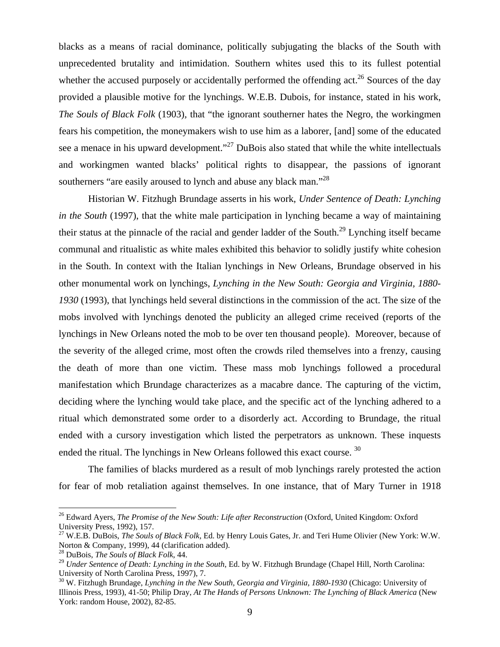blacks as a means of racial dominance, politically subjugating the blacks of the South with unprecedented brutality and intimidation. Southern whites used this to its fullest potential whether the accused purposely or accidentally performed the offending act.<sup>26</sup> Sources of the day provided a plausible motive for the lynchings. W.E.B. Dubois, for instance, stated in his work, *The Souls of Black Folk* (1903)*,* that "the ignorant southerner hates the Negro, the workingmen fears his competition, the moneymakers wish to use him as a laborer, [and] some of the educated see a menace in his upward development."<sup>27</sup> DuBois also stated that while the white intellectuals and workingmen wanted blacks' political rights to disappear, the passions of ignorant southerners "are easily aroused to lynch and abuse any black man."<sup>28</sup>

Historian W. Fitzhugh Brundage asserts in his work, *Under Sentence of Death: Lynching in the South* (1997), that the white male participation in lynching became a way of maintaining their status at the pinnacle of the racial and gender ladder of the South.29 Lynching itself became communal and ritualistic as white males exhibited this behavior to solidly justify white cohesion in the South. In context with the Italian lynchings in New Orleans, Brundage observed in his other monumental work on lynchings, *Lynching in the New South: Georgia and Virginia, 1880- 1930* (1993), that lynchings held several distinctions in the commission of the act. The size of the mobs involved with lynchings denoted the publicity an alleged crime received (reports of the lynchings in New Orleans noted the mob to be over ten thousand people). Moreover, because of the severity of the alleged crime, most often the crowds riled themselves into a frenzy, causing the death of more than one victim. These mass mob lynchings followed a procedural manifestation which Brundage characterizes as a macabre dance. The capturing of the victim, deciding where the lynching would take place, and the specific act of the lynching adhered to a ritual which demonstrated some order to a disorderly act. According to Brundage, the ritual ended with a cursory investigation which listed the perpetrators as unknown. These inquests ended the ritual. The lynchings in New Orleans followed this exact course. <sup>30</sup>

The families of blacks murdered as a result of mob lynchings rarely protested the action for fear of mob retaliation against themselves. In one instance, that of Mary Turner in 1918

<sup>26</sup> Edward Ayers, *The Promise of the New South: Life after Reconstruction* (Oxford, United Kingdom: Oxford University Press, 1992), 157.

<sup>27</sup> W.E.B. DuBois, *The Souls of Black Folk,* Ed. by Henry Louis Gates, Jr. and Teri Hume Olivier (New York: W.W. Norton & Company, 1999), 44 (clarification added).

<sup>28</sup> DuBois, *The Souls of Black Folk*, 44.

<sup>29</sup> *Under Sentence of Death: Lynching in the South*, Ed. by W. Fitzhugh Brundage (Chapel Hill, North Carolina: University of North Carolina Press, 1997), 7.

<sup>30</sup> W. Fitzhugh Brundage, *Lynching in the New South, Georgia and Virginia, 1880-1930* (Chicago: University of Illinois Press, 1993), 41-50; Philip Dray, *At The Hands of Persons Unknown: The Lynching of Black America* (New York: random House, 2002), 82-85.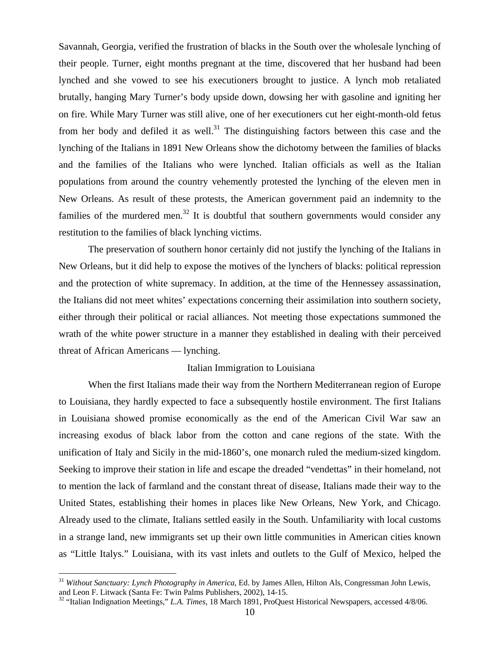Savannah, Georgia, verified the frustration of blacks in the South over the wholesale lynching of their people. Turner, eight months pregnant at the time, discovered that her husband had been lynched and she vowed to see his executioners brought to justice. A lynch mob retaliated brutally, hanging Mary Turner's body upside down, dowsing her with gasoline and igniting her on fire. While Mary Turner was still alive, one of her executioners cut her eight-month-old fetus from her body and defiled it as well.<sup>31</sup> The distinguishing factors between this case and the lynching of the Italians in 1891 New Orleans show the dichotomy between the families of blacks and the families of the Italians who were lynched. Italian officials as well as the Italian populations from around the country vehemently protested the lynching of the eleven men in New Orleans. As result of these protests, the American government paid an indemnity to the families of the murdered men.<sup>32</sup> It is doubtful that southern governments would consider any restitution to the families of black lynching victims.

The preservation of southern honor certainly did not justify the lynching of the Italians in New Orleans, but it did help to expose the motives of the lynchers of blacks: political repression and the protection of white supremacy. In addition, at the time of the Hennessey assassination, the Italians did not meet whites' expectations concerning their assimilation into southern society, either through their political or racial alliances. Not meeting those expectations summoned the wrath of the white power structure in a manner they established in dealing with their perceived threat of African Americans — lynching.

#### Italian Immigration to Louisiana

When the first Italians made their way from the Northern Mediterranean region of Europe to Louisiana, they hardly expected to face a subsequently hostile environment. The first Italians in Louisiana showed promise economically as the end of the American Civil War saw an increasing exodus of black labor from the cotton and cane regions of the state. With the unification of Italy and Sicily in the mid-1860's, one monarch ruled the medium-sized kingdom. Seeking to improve their station in life and escape the dreaded "vendettas" in their homeland, not to mention the lack of farmland and the constant threat of disease, Italians made their way to the United States, establishing their homes in places like New Orleans, New York, and Chicago. Already used to the climate, Italians settled easily in the South. Unfamiliarity with local customs in a strange land, new immigrants set up their own little communities in American cities known as "Little Italys." Louisiana, with its vast inlets and outlets to the Gulf of Mexico, helped the

<sup>&</sup>lt;sup>31</sup> *Without Sanctuary: Lynch Photography in America*, Ed. by James Allen, Hilton Als, Congressman John Lewis, and Leon F. Litwack (Santa Fe: Twin Palms Publishers, 2002), 14-15.

<sup>&</sup>lt;sup>32</sup> "Italian Indignation Meetings," *L.A. Times*, 18 March 1891, ProQuest Historical Newspapers, accessed 4/8/06.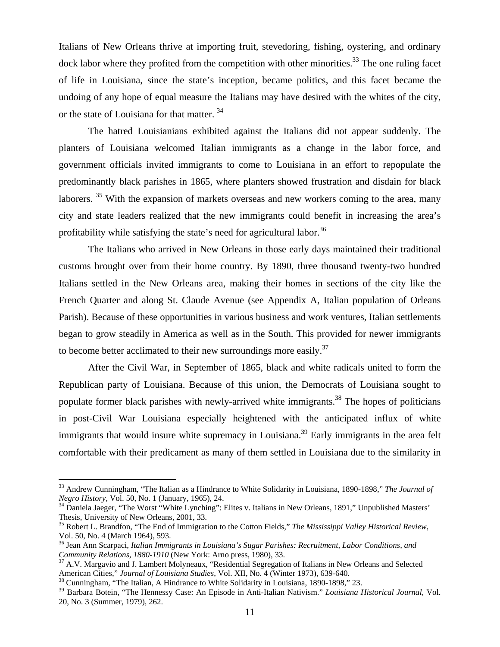Italians of New Orleans thrive at importing fruit, stevedoring, fishing, oystering, and ordinary  $\dots$  dock labor where they profited from the competition with other minorities.<sup>33</sup> The one ruling facet of life in Louisiana, since the state's inception, became politics, and this facet became the undoing of any hope of equal measure the Italians may have desired with the whites of the city, or the state of Louisiana for that matter.<sup>34</sup>

The hatred Louisianians exhibited against the Italians did not appear suddenly. The planters of Louisiana welcomed Italian immigrants as a change in the labor force, and government officials invited immigrants to come to Louisiana in an effort to repopulate the predominantly black parishes in 1865, where planters showed frustration and disdain for black laborers.<sup>35</sup> With the expansion of markets overseas and new workers coming to the area, many city and state leaders realized that the new immigrants could benefit in increasing the area's profitability while satisfying the state's need for agricultural labor.<sup>36</sup>

The Italians who arrived in New Orleans in those early days maintained their traditional customs brought over from their home country. By 1890, three thousand twenty-two hundred Italians settled in the New Orleans area, making their homes in sections of the city like the French Quarter and along St. Claude Avenue (see Appendix A, Italian population of Orleans Parish). Because of these opportunities in various business and work ventures, Italian settlements began to grow steadily in America as well as in the South. This provided for newer immigrants to become better acclimated to their new surroundings more easily.<sup>37</sup>

After the Civil War, in September of 1865, black and white radicals united to form the Republican party of Louisiana. Because of this union, the Democrats of Louisiana sought to populate former black parishes with newly-arrived white immigrants.<sup>38</sup> The hopes of politicians in post-Civil War Louisiana especially heightened with the anticipated influx of white immigrants that would insure white supremacy in Louisiana.<sup>39</sup> Early immigrants in the area felt comfortable with their predicament as many of them settled in Louisiana due to the similarity in

<sup>&</sup>lt;sup>33</sup> Andrew Cunningham, "The Italian as a Hindrance to White Solidarity in Louisiana, 1890-1898," *The Journal of Negro History*, Vol. 50, No. 1 (January, 1965), 24.

<sup>&</sup>lt;sup>34</sup> Daniela Jaeger, "The Worst "White Lynching": Elites v. Italians in New Orleans, 1891," Unpublished Masters' Thesis, University of New Orleans, 2001, 33.

<sup>35</sup> Robert L. Brandfon, "The End of Immigration to the Cotton Fields," *The Mississippi Valley Historical Review*, Vol. 50, No. 4 (March 1964), 593.

<sup>36</sup> Jean Ann Scarpaci, *Italian Immigrants in Louisiana's Sugar Parishes: Recruitment, Labor Conditions, and* 

*Community Relations, 1880-1910* (New York: Arno press, 1980), 33.<br><sup>37</sup> A.V. Margavio and J. Lambert Molyneaux, "Residential Segregation of Italians in New Orleans and Selected<br>American Cities," Journal of Louisiana Studie

<sup>&</sup>lt;sup>38</sup> Cunningham, "The Italian, A Hindrance to White Solidarity in Louisiana, 1890-1898," 23.

<sup>39</sup> Barbara Botein, "The Hennessy Case: An Episode in Anti-Italian Nativism." *Louisiana Historical Journal*, Vol. 20, No. 3 (Summer, 1979), 262.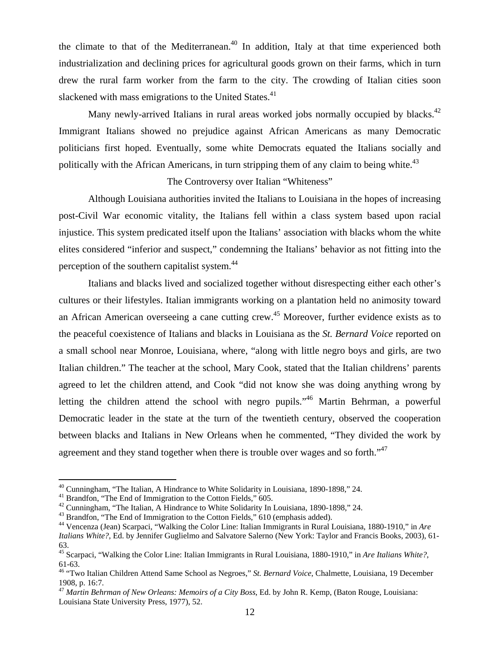the climate to that of the Mediterranean.<sup>40</sup> In addition, Italy at that time experienced both industrialization and declining prices for agricultural goods grown on their farms, which in turn drew the rural farm worker from the farm to the city. The crowding of Italian cities soon slackened with mass emigrations to the United States.<sup>41</sup>

Many newly-arrived Italians in rural areas worked jobs normally occupied by blacks.<sup>42</sup> Immigrant Italians showed no prejudice against African Americans as many Democratic politicians first hoped. Eventually, some white Democrats equated the Italians socially and politically with the African Americans, in turn stripping them of any claim to being white. $43$ 

#### The Controversy over Italian "Whiteness"

 Although Louisiana authorities invited the Italians to Louisiana in the hopes of increasing post-Civil War economic vitality, the Italians fell within a class system based upon racial injustice. This system predicated itself upon the Italians' association with blacks whom the white elites considered "inferior and suspect," condemning the Italians' behavior as not fitting into the perception of the southern capitalist system.44

 Italians and blacks lived and socialized together without disrespecting either each other's cultures or their lifestyles. Italian immigrants working on a plantation held no animosity toward an African American overseeing a cane cutting crew.<sup>45</sup> Moreover, further evidence exists as to the peaceful coexistence of Italians and blacks in Louisiana as the *St. Bernard Voice* reported on a small school near Monroe, Louisiana, where, "along with little negro boys and girls, are two Italian children." The teacher at the school, Mary Cook, stated that the Italian childrens' parents agreed to let the children attend, and Cook "did not know she was doing anything wrong by letting the children attend the school with negro pupils."<sup>46</sup> Martin Behrman, a powerful Democratic leader in the state at the turn of the twentieth century, observed the cooperation between blacks and Italians in New Orleans when he commented, "They divided the work by agreement and they stand together when there is trouble over wages and so forth."<sup>47</sup>

<sup>&</sup>lt;sup>40</sup> Cunningham, "The Italian, A Hindrance to White Solidarity in Louisiana, 1890-1898," 24.

<sup>&</sup>lt;sup>41</sup> Brandfon, "The End of Immigration to the Cotton Fields," 605.

<sup>&</sup>lt;sup>42</sup> Cunningham, "The Italian, A Hindrance to White Solidarity In Louisiana, 1890-1898," 24.

<sup>&</sup>lt;sup>43</sup> Brandfon, "The End of Immigration to the Cotton Fields," 610 (emphasis added).

<sup>44</sup> Vencenza (Jean) Scarpaci, "Walking the Color Line: Italian Immigrants in Rural Louisiana, 1880-1910," in *Are Italians White?*, Ed. by Jennifer Guglielmo and Salvatore Salerno (New York: Taylor and Francis Books, 2003), 61- 63.

<sup>45</sup> Scarpaci, "Walking the Color Line: Italian Immigrants in Rural Louisiana, 1880-1910," in *Are Italians White?*, 61-63.

<sup>46 &</sup>quot;Two Italian Children Attend Same School as Negroes," *St. Bernard Voice*, Chalmette, Louisiana, 19 December 1908, p. 16:7.

<sup>47</sup> *Martin Behrman of New Orleans: Memoirs of a City Boss*, Ed. by John R. Kemp, (Baton Rouge, Louisiana: Louisiana State University Press, 1977), 52.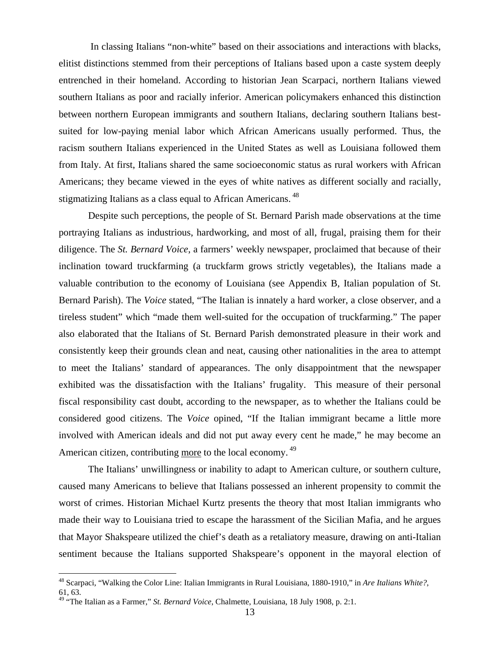In classing Italians "non-white" based on their associations and interactions with blacks, elitist distinctions stemmed from their perceptions of Italians based upon a caste system deeply entrenched in their homeland. According to historian Jean Scarpaci, northern Italians viewed southern Italians as poor and racially inferior. American policymakers enhanced this distinction between northern European immigrants and southern Italians, declaring southern Italians bestsuited for low-paying menial labor which African Americans usually performed. Thus, the racism southern Italians experienced in the United States as well as Louisiana followed them from Italy. At first, Italians shared the same socioeconomic status as rural workers with African Americans; they became viewed in the eyes of white natives as different socially and racially, stigmatizing Italians as a class equal to African Americans.<sup>48</sup>

 Despite such perceptions, the people of St. Bernard Parish made observations at the time portraying Italians as industrious, hardworking, and most of all, frugal, praising them for their diligence. The *St. Bernard Voice*, a farmers' weekly newspaper, proclaimed that because of their inclination toward truckfarming (a truckfarm grows strictly vegetables), the Italians made a valuable contribution to the economy of Louisiana (see Appendix B, Italian population of St. Bernard Parish). The *Voice* stated, "The Italian is innately a hard worker, a close observer, and a tireless student" which "made them well-suited for the occupation of truckfarming." The paper also elaborated that the Italians of St. Bernard Parish demonstrated pleasure in their work and consistently keep their grounds clean and neat, causing other nationalities in the area to attempt to meet the Italians' standard of appearances. The only disappointment that the newspaper exhibited was the dissatisfaction with the Italians' frugality. This measure of their personal fiscal responsibility cast doubt, according to the newspaper, as to whether the Italians could be considered good citizens. The *Voice* opined, "If the Italian immigrant became a little more involved with American ideals and did not put away every cent he made," he may become an American citizen, contributing more to the local economy.<sup>49</sup>

The Italians' unwillingness or inability to adapt to American culture, or southern culture, caused many Americans to believe that Italians possessed an inherent propensity to commit the worst of crimes. Historian Michael Kurtz presents the theory that most Italian immigrants who made their way to Louisiana tried to escape the harassment of the Sicilian Mafia, and he argues that Mayor Shakspeare utilized the chief's death as a retaliatory measure, drawing on anti-Italian sentiment because the Italians supported Shakspeare's opponent in the mayoral election of

<u>.</u>

<sup>48</sup> Scarpaci, "Walking the Color Line: Italian Immigrants in Rural Louisiana, 1880-1910," in *Are Italians White?*, 61, 63.

<sup>49 &</sup>quot;The Italian as a Farmer," *St. Bernard Voice*, Chalmette, Louisiana, 18 July 1908, p. 2:1.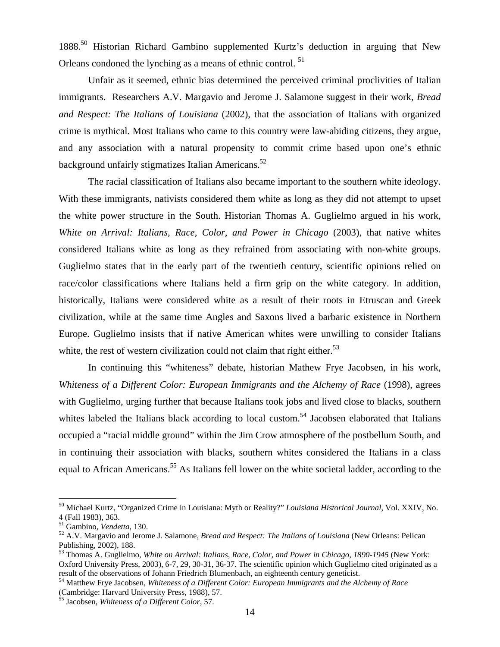1888.50 Historian Richard Gambino supplemented Kurtz's deduction in arguing that New Orleans condoned the lynching as a means of ethnic control.<sup>51</sup>

 Unfair as it seemed, ethnic bias determined the perceived criminal proclivities of Italian immigrants. Researchers A.V. Margavio and Jerome J. Salamone suggest in their work, *Bread and Respect: The Italians of Louisiana* (2002), that the association of Italians with organized crime is mythical. Most Italians who came to this country were law-abiding citizens, they argue, and any association with a natural propensity to commit crime based upon one's ethnic background unfairly stigmatizes Italian Americans.<sup>52</sup>

The racial classification of Italians also became important to the southern white ideology. With these immigrants, nativists considered them white as long as they did not attempt to upset the white power structure in the South. Historian Thomas A. Guglielmo argued in his work, *White on Arrival: Italians, Race, Color, and Power in Chicago* (2003), that native whites considered Italians white as long as they refrained from associating with non-white groups. Guglielmo states that in the early part of the twentieth century, scientific opinions relied on race/color classifications where Italians held a firm grip on the white category. In addition, historically, Italians were considered white as a result of their roots in Etruscan and Greek civilization, while at the same time Angles and Saxons lived a barbaric existence in Northern Europe. Guglielmo insists that if native American whites were unwilling to consider Italians white, the rest of western civilization could not claim that right either.<sup>53</sup>

In continuing this "whiteness" debate, historian Mathew Frye Jacobsen, in his work, *Whiteness of a Different Color: European Immigrants and the Alchemy of Race* (1998), agrees with Guglielmo, urging further that because Italians took jobs and lived close to blacks, southern whites labeled the Italians black according to local custom.<sup>54</sup> Jacobsen elaborated that Italians occupied a "racial middle ground" within the Jim Crow atmosphere of the postbellum South, and in continuing their association with blacks, southern whites considered the Italians in a class equal to African Americans.<sup>55</sup> As Italians fell lower on the white societal ladder, according to the

<sup>50</sup> Michael Kurtz, "Organized Crime in Louisiana: Myth or Reality?" *Louisiana Historical Journal*, Vol. XXIV, No. 4 (Fall 1983), 363.<br><sup>51</sup> Gambino, *Vendetta*, 130.

<sup>&</sup>lt;sup>52</sup> A.V. Margavio and Jerome J. Salamone, *Bread and Respect: The Italians of Louisiana* (New Orleans: Pelican Publishing, 2002), 188.

<sup>53</sup> Thomas A. Guglielmo, *White on Arrival: Italians, Race, Color, and Power in Chicago, 1890-1945* (New York: Oxford University Press, 2003), 6-7, 29, 30-31, 36-37. The scientific opinion which Guglielmo cited originated as a result of the observations of Johann Friedrich Blumenbach, an eighteenth century geneticist.

<sup>54</sup> Matthew Frye Jacobsen, *Whiteness of a Different Color: European Immigrants and the Alchemy of Race* (Cambridge: Harvard University Press, 1988), 57.

<sup>55</sup> Jacobsen, *Whiteness of a Different Color*, 57.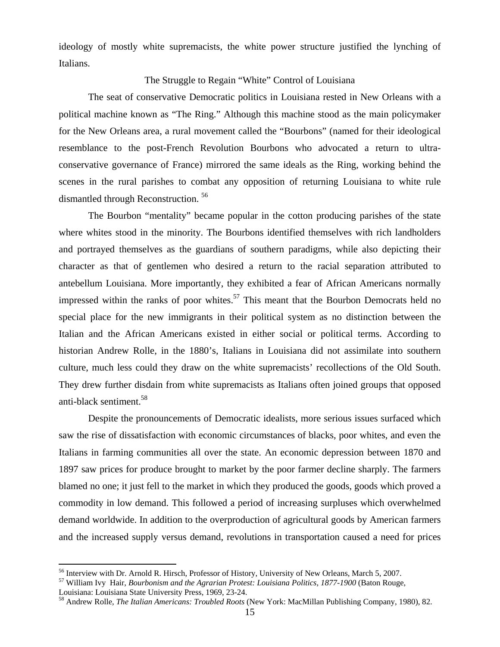ideology of mostly white supremacists, the white power structure justified the lynching of Italians.

#### The Struggle to Regain "White" Control of Louisiana

The seat of conservative Democratic politics in Louisiana rested in New Orleans with a political machine known as "The Ring." Although this machine stood as the main policymaker for the New Orleans area, a rural movement called the "Bourbons" (named for their ideological resemblance to the post-French Revolution Bourbons who advocated a return to ultraconservative governance of France) mirrored the same ideals as the Ring, working behind the scenes in the rural parishes to combat any opposition of returning Louisiana to white rule dismantled through Reconstruction. 56

The Bourbon "mentality" became popular in the cotton producing parishes of the state where whites stood in the minority. The Bourbons identified themselves with rich landholders and portrayed themselves as the guardians of southern paradigms, while also depicting their character as that of gentlemen who desired a return to the racial separation attributed to antebellum Louisiana. More importantly, they exhibited a fear of African Americans normally impressed within the ranks of poor whites.<sup>57</sup> This meant that the Bourbon Democrats held no special place for the new immigrants in their political system as no distinction between the Italian and the African Americans existed in either social or political terms. According to historian Andrew Rolle, in the 1880's, Italians in Louisiana did not assimilate into southern culture, much less could they draw on the white supremacists' recollections of the Old South. They drew further disdain from white supremacists as Italians often joined groups that opposed anti-black sentiment.58

Despite the pronouncements of Democratic idealists, more serious issues surfaced which saw the rise of dissatisfaction with economic circumstances of blacks, poor whites, and even the Italians in farming communities all over the state. An economic depression between 1870 and 1897 saw prices for produce brought to market by the poor farmer decline sharply. The farmers blamed no one; it just fell to the market in which they produced the goods, goods which proved a commodity in low demand. This followed a period of increasing surpluses which overwhelmed demand worldwide. In addition to the overproduction of agricultural goods by American farmers and the increased supply versus demand, revolutions in transportation caused a need for prices

<sup>&</sup>lt;sup>56</sup> Interview with Dr. Arnold R. Hirsch, Professor of History, University of New Orleans, March 5, 2007.

<sup>57</sup> William Ivy Hair, *Bourbonism and the Agrarian Protest: Louisiana Politics, 1877-1900* (Baton Rouge,

Louisiana: Louisiana State University Press, 1969, 23-24.<br><sup>58</sup> Andrew Rolle, *The Italian Americans: Troubled Roots* (New York: MacMillan Publishing Company, 1980), 82.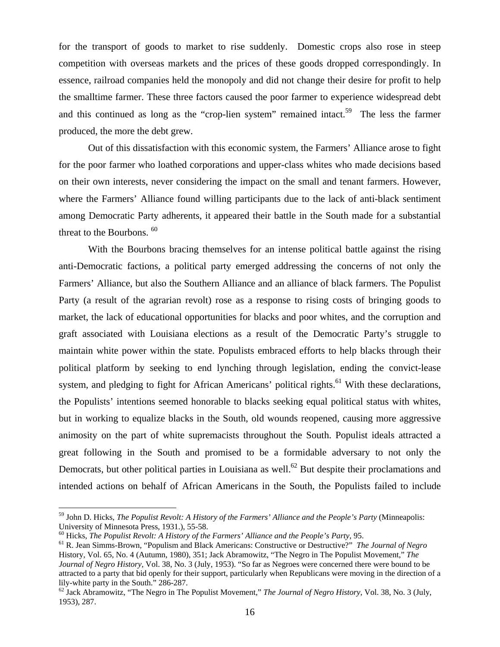for the transport of goods to market to rise suddenly. Domestic crops also rose in steep competition with overseas markets and the prices of these goods dropped correspondingly. In essence, railroad companies held the monopoly and did not change their desire for profit to help the smalltime farmer. These three factors caused the poor farmer to experience widespread debt and this continued as long as the "crop-lien system" remained intact.<sup>59</sup> The less the farmer produced, the more the debt grew.

Out of this dissatisfaction with this economic system, the Farmers' Alliance arose to fight for the poor farmer who loathed corporations and upper-class whites who made decisions based on their own interests, never considering the impact on the small and tenant farmers. However, where the Farmers' Alliance found willing participants due to the lack of anti-black sentiment among Democratic Party adherents, it appeared their battle in the South made for a substantial threat to the Bourbons.<sup>60</sup>

With the Bourbons bracing themselves for an intense political battle against the rising anti-Democratic factions, a political party emerged addressing the concerns of not only the Farmers' Alliance, but also the Southern Alliance and an alliance of black farmers. The Populist Party (a result of the agrarian revolt) rose as a response to rising costs of bringing goods to market, the lack of educational opportunities for blacks and poor whites, and the corruption and graft associated with Louisiana elections as a result of the Democratic Party's struggle to maintain white power within the state. Populists embraced efforts to help blacks through their political platform by seeking to end lynching through legislation, ending the convict-lease system, and pledging to fight for African Americans' political rights.<sup>61</sup> With these declarations, the Populists' intentions seemed honorable to blacks seeking equal political status with whites, but in working to equalize blacks in the South, old wounds reopened, causing more aggressive animosity on the part of white supremacists throughout the South. Populist ideals attracted a great following in the South and promised to be a formidable adversary to not only the Democrats, but other political parties in Louisiana as well.<sup>62</sup> But despite their proclamations and intended actions on behalf of African Americans in the South, the Populists failed to include

<sup>59</sup> John D. Hicks, *The Populist Revolt: A History of the Farmers' Alliance and the People's Party* (Minneapolis: University of Minnesota Press, 1931.), 55-58.<br><sup>60</sup> Hicks, *The Populist Revolt: A History of the Farmers' Alliance and the People's Party*, 95.

<sup>&</sup>lt;sup>61</sup> R. Jean Simms-Brown, "Populism and Black Americans: Constructive or Destructive?" *The Journal of Negro* History, Vol. 65, No. 4 (Autumn, 1980), 351; Jack Abramowitz, "The Negro in The Populist Movement," *The Journal of Negro History,* Vol. 38, No. 3 (July, 1953). "So far as Negroes were concerned there were bound to be attracted to a party that bid openly for their support, particularly when Republicans were moving in the direction of a lily-white party in the South." 286-287.

<sup>62</sup> Jack Abramowitz, "The Negro in The Populist Movement," *The Journal of Negro History,* Vol. 38, No. 3 (July, 1953), 287.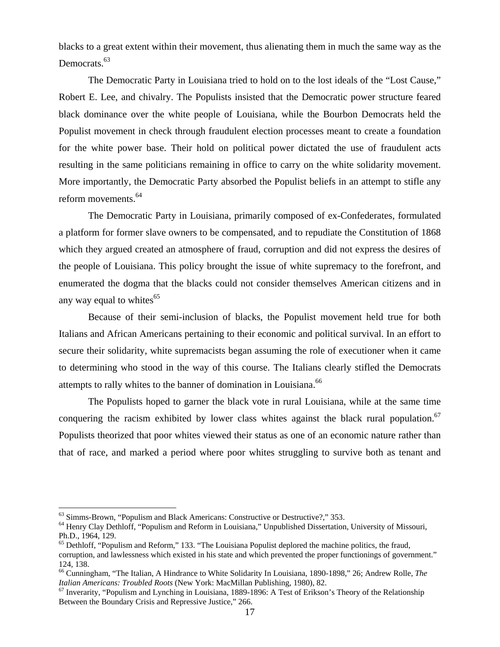blacks to a great extent within their movement, thus alienating them in much the same way as the Democrats.<sup>63</sup>

The Democratic Party in Louisiana tried to hold on to the lost ideals of the "Lost Cause," Robert E. Lee, and chivalry. The Populists insisted that the Democratic power structure feared black dominance over the white people of Louisiana, while the Bourbon Democrats held the Populist movement in check through fraudulent election processes meant to create a foundation for the white power base. Their hold on political power dictated the use of fraudulent acts resulting in the same politicians remaining in office to carry on the white solidarity movement. More importantly, the Democratic Party absorbed the Populist beliefs in an attempt to stifle any reform movements.<sup>64</sup>

The Democratic Party in Louisiana, primarily composed of ex-Confederates, formulated a platform for former slave owners to be compensated, and to repudiate the Constitution of 1868 which they argued created an atmosphere of fraud, corruption and did not express the desires of the people of Louisiana. This policy brought the issue of white supremacy to the forefront, and enumerated the dogma that the blacks could not consider themselves American citizens and in any way equal to whites $^{65}$ 

Because of their semi-inclusion of blacks, the Populist movement held true for both Italians and African Americans pertaining to their economic and political survival. In an effort to secure their solidarity, white supremacists began assuming the role of executioner when it came to determining who stood in the way of this course. The Italians clearly stifled the Democrats attempts to rally whites to the banner of domination in Louisiana.<sup>66</sup>

The Populists hoped to garner the black vote in rural Louisiana, while at the same time conquering the racism exhibited by lower class whites against the black rural population.<sup>67</sup> Populists theorized that poor whites viewed their status as one of an economic nature rather than that of race, and marked a period where poor whites struggling to survive both as tenant and

1

<sup>&</sup>lt;sup>63</sup> Simms-Brown, "Populism and Black Americans: Constructive or Destructive?," 353.<br><sup>64</sup> Henry Clay Dethloff, "Populism and Reform in Louisiana," Unpublished Dissertation, University of Missouri, Ph.D., 1964, 129.

 $<sup>65</sup>$  Dethloff, "Populism and Reform," 133. "The Louisiana Populist deplored the machine politics, the fraud,</sup> corruption, and lawlessness which existed in his state and which prevented the proper functionings of government." 124, 138.

<sup>66</sup> Cunningham, "The Italian, A Hindrance to White Solidarity In Louisiana, 1890-1898," 26; Andrew Rolle, *The* 

<sup>&</sup>lt;sup>67</sup> Inverarity, "Populism and Lynching in Louisiana, 1889-1896: A Test of Erikson's Theory of the Relationship Between the Boundary Crisis and Repressive Justice," 266.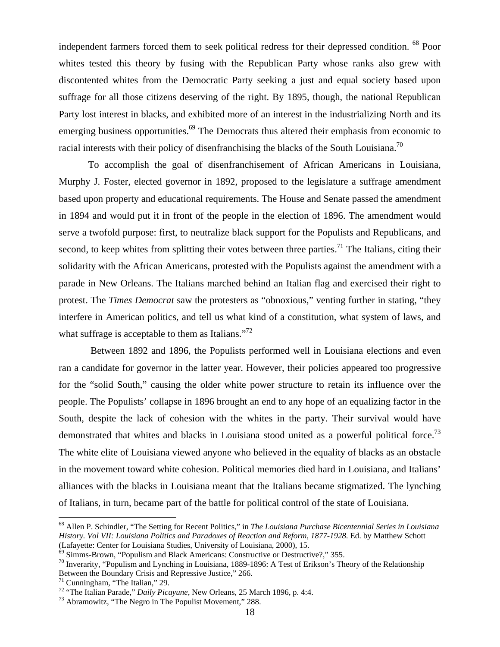independent farmers forced them to seek political redress for their depressed condition. 68 Poor whites tested this theory by fusing with the Republican Party whose ranks also grew with discontented whites from the Democratic Party seeking a just and equal society based upon suffrage for all those citizens deserving of the right. By 1895, though, the national Republican Party lost interest in blacks, and exhibited more of an interest in the industrializing North and its emerging business opportunities.<sup>69</sup> The Democrats thus altered their emphasis from economic to racial interests with their policy of disenfranchising the blacks of the South Louisiana.70

To accomplish the goal of disenfranchisement of African Americans in Louisiana, Murphy J. Foster, elected governor in 1892, proposed to the legislature a suffrage amendment based upon property and educational requirements. The House and Senate passed the amendment in 1894 and would put it in front of the people in the election of 1896. The amendment would serve a twofold purpose: first, to neutralize black support for the Populists and Republicans, and second, to keep whites from splitting their votes between three parties.<sup>71</sup> The Italians, citing their solidarity with the African Americans, protested with the Populists against the amendment with a parade in New Orleans. The Italians marched behind an Italian flag and exercised their right to protest. The *Times Democrat* saw the protesters as "obnoxious," venting further in stating, "they interfere in American politics, and tell us what kind of a constitution, what system of laws, and what suffrage is acceptable to them as Italians. $172$ 

 Between 1892 and 1896, the Populists performed well in Louisiana elections and even ran a candidate for governor in the latter year. However, their policies appeared too progressive for the "solid South," causing the older white power structure to retain its influence over the people. The Populists' collapse in 1896 brought an end to any hope of an equalizing factor in the South, despite the lack of cohesion with the whites in the party. Their survival would have demonstrated that whites and blacks in Louisiana stood united as a powerful political force.<sup>73</sup> The white elite of Louisiana viewed anyone who believed in the equality of blacks as an obstacle in the movement toward white cohesion. Political memories died hard in Louisiana, and Italians' alliances with the blacks in Louisiana meant that the Italians became stigmatized. The lynching of Italians, in turn, became part of the battle for political control of the state of Louisiana.

<u>.</u>

<sup>68</sup> Allen P. Schindler, "The Setting for Recent Politics," in *The Louisiana Purchase Bicentennial Series in Louisiana History. Vol VII: Louisiana Politics and Paradoxes of Reaction and Reform, 1877-1928*. Ed. by Matthew Schott

 $^{69}$  Simms-Brown, "Populism and Black Americans: Constructive or Destructive?," 355.<br><sup>70</sup> Inverarity, "Populism and Lynching in Louisiana, 1889-1896: A Test of Erikson's Theory of the Relationship Between the Boundary Crisis and Repressive Justice," 266.<br><sup>71</sup> Cunningham, "The Italian," 29.

<sup>72 &</sup>quot;The Italian Parade," *Daily Picayune*, New Orleans, 25 March 1896, p. 4:4. 73 Abramowitz, "The Negro in The Populist Movement," 288.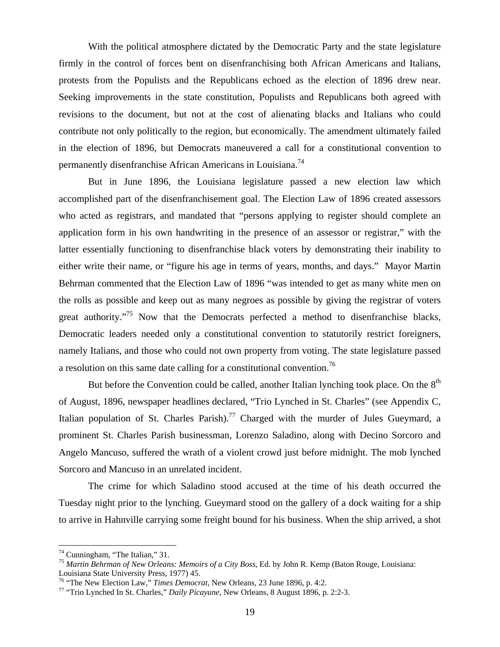With the political atmosphere dictated by the Democratic Party and the state legislature firmly in the control of forces bent on disenfranchising both African Americans and Italians, protests from the Populists and the Republicans echoed as the election of 1896 drew near. Seeking improvements in the state constitution, Populists and Republicans both agreed with revisions to the document, but not at the cost of alienating blacks and Italians who could contribute not only politically to the region, but economically. The amendment ultimately failed in the election of 1896, but Democrats maneuvered a call for a constitutional convention to permanently disenfranchise African Americans in Louisiana.74

But in June 1896, the Louisiana legislature passed a new election law which accomplished part of the disenfranchisement goal. The Election Law of 1896 created assessors who acted as registrars, and mandated that "persons applying to register should complete an application form in his own handwriting in the presence of an assessor or registrar," with the latter essentially functioning to disenfranchise black voters by demonstrating their inability to either write their name, or "figure his age in terms of years, months, and days." Mayor Martin Behrman commented that the Election Law of 1896 "was intended to get as many white men on the rolls as possible and keep out as many negroes as possible by giving the registrar of voters great authority."<sup>75</sup> Now that the Democrats perfected a method to disenfranchise blacks, Democratic leaders needed only a constitutional convention to statutorily restrict foreigners, namely Italians, and those who could not own property from voting. The state legislature passed a resolution on this same date calling for a constitutional convention.<sup>76</sup>

But before the Convention could be called, another Italian lynching took place. On the  $8<sup>th</sup>$ of August, 1896, newspaper headlines declared, "Trio Lynched in St. Charles" (see Appendix C, Italian population of St. Charles Parish).<sup>77</sup> Charged with the murder of Jules Gueymard, a prominent St. Charles Parish businessman, Lorenzo Saladino, along with Decino Sorcoro and Angelo Mancuso, suffered the wrath of a violent crowd just before midnight. The mob lynched Sorcoro and Mancuso in an unrelated incident.

The crime for which Saladino stood accused at the time of his death occurred the Tuesday night prior to the lynching. Gueymard stood on the gallery of a dock waiting for a ship to arrive in Hahnville carrying some freight bound for his business. When the ship arrived, a shot

<u>.</u>

 $74$  Cunningham, "The Italian," 31.

<sup>75</sup> *Martin Behrman of New Orleans: Memoirs of a City Boss*, Ed. by John R. Kemp (Baton Rouge, Louisiana:

Louisiana State University Press, 1977) 45. 76 "The New Election Law," *Times Democrat*, New Orleans, 23 June 1896, p. 4:2. 77 "Trio Lynched In St. Charles," *Daily Picayune*, New Orleans, 8 August 1896, p. 2:2-3.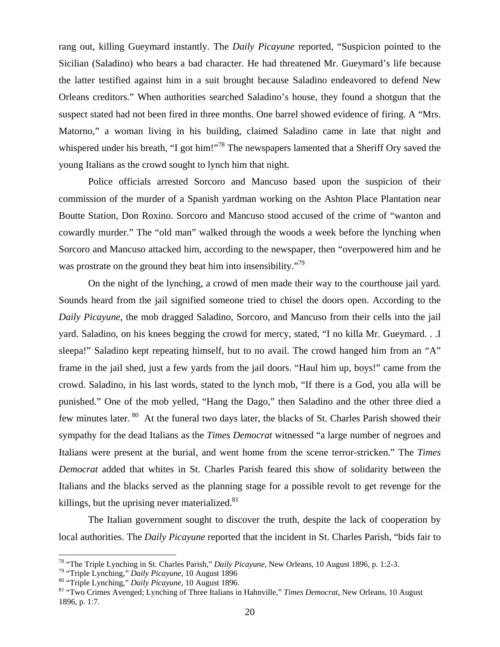rang out, killing Gueymard instantly. The *Daily Picayune* reported, "Suspicion pointed to the Sicilian (Saladino) who bears a bad character. He had threatened Mr. Gueymard's life because the latter testified against him in a suit brought because Saladino endeavored to defend New Orleans creditors." When authorities searched Saladino's house, they found a shotgun that the suspect stated had not been fired in three months. One barrel showed evidence of firing. A "Mrs. Matorno," a woman living in his building, claimed Saladino came in late that night and whispered under his breath, "I got him!"<sup>78</sup> The newspapers lamented that a Sheriff Ory saved the young Italians as the crowd sought to lynch him that night.

Police officials arrested Sorcoro and Mancuso based upon the suspicion of their commission of the murder of a Spanish yardman working on the Ashton Place Plantation near Boutte Station, Don Roxino. Sorcoro and Mancuso stood accused of the crime of "wanton and cowardly murder." The "old man" walked through the woods a week before the lynching when Sorcoro and Mancuso attacked him, according to the newspaper, then "overpowered him and he was prostrate on the ground they beat him into insensibility."<sup>79</sup>

On the night of the lynching, a crowd of men made their way to the courthouse jail yard. Sounds heard from the jail signified someone tried to chisel the doors open. According to the *Daily Picayune,* the mob dragged Saladino, Sorcoro, and Mancuso from their cells into the jail yard. Saladino, on his knees begging the crowd for mercy, stated, "I no killa Mr. Gueymard. . .I sleepa!" Saladino kept repeating himself, but to no avail. The crowd hanged him from an "A" frame in the jail shed, just a few yards from the jail doors. "Haul him up, boys!" came from the crowd. Saladino, in his last words, stated to the lynch mob, "If there is a God, you alla will be punished." One of the mob yelled, "Hang the Dago," then Saladino and the other three died a few minutes later. <sup>80</sup> At the funeral two days later, the blacks of St. Charles Parish showed their sympathy for the dead Italians as the *Times Democrat* witnessed "a large number of negroes and Italians were present at the burial, and went home from the scene terror-stricken." The *Times Democrat* added that whites in St. Charles Parish feared this show of solidarity between the Italians and the blacks served as the planning stage for a possible revolt to get revenge for the killings, but the uprising never materialized. $81$ 

The Italian government sought to discover the truth, despite the lack of cooperation by local authorities. The *Daily Picayune* reported that the incident in St. Charles Parish, "bids fair to

<sup>&</sup>lt;sup>78</sup> "The Triple Lynching in St. Charles Parish," *Daily Picayune*, New Orleans, 10 August 1896, p. 1:2-3.<br><sup>79</sup> "Triple Lynching," *Daily Picayune*, 10 August 1896<br><sup>80</sup> "Triple Lynching," *Daily Picayune*, 10 August 1896.

<sup>1896,</sup> p. 1:7.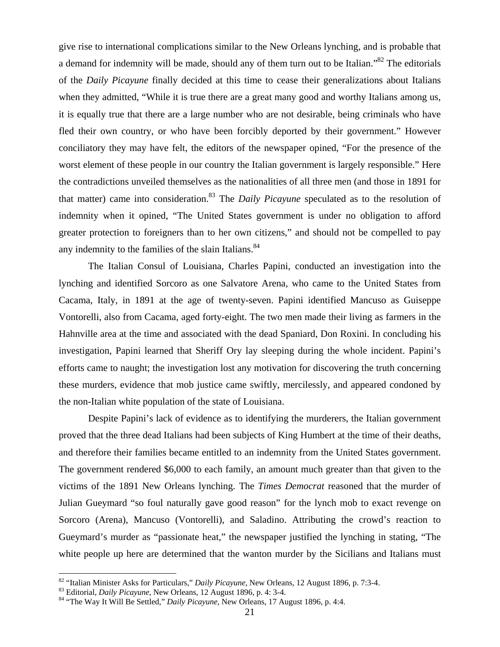give rise to international complications similar to the New Orleans lynching, and is probable that a demand for indemnity will be made, should any of them turn out to be Italian."82 The editorials of the *Daily Picayune* finally decided at this time to cease their generalizations about Italians when they admitted, "While it is true there are a great many good and worthy Italians among us, it is equally true that there are a large number who are not desirable, being criminals who have fled their own country, or who have been forcibly deported by their government." However conciliatory they may have felt, the editors of the newspaper opined, "For the presence of the worst element of these people in our country the Italian government is largely responsible." Here the contradictions unveiled themselves as the nationalities of all three men (and those in 1891 for that matter) came into consideration.<sup>83</sup> The *Daily Picayune* speculated as to the resolution of indemnity when it opined, "The United States government is under no obligation to afford greater protection to foreigners than to her own citizens," and should not be compelled to pay any indemnity to the families of the slain Italians.<sup>84</sup>

The Italian Consul of Louisiana, Charles Papini, conducted an investigation into the lynching and identified Sorcoro as one Salvatore Arena, who came to the United States from Cacama, Italy, in 1891 at the age of twenty-seven. Papini identified Mancuso as Guiseppe Vontorelli, also from Cacama, aged forty-eight. The two men made their living as farmers in the Hahnville area at the time and associated with the dead Spaniard, Don Roxini. In concluding his investigation, Papini learned that Sheriff Ory lay sleeping during the whole incident. Papini's efforts came to naught; the investigation lost any motivation for discovering the truth concerning these murders, evidence that mob justice came swiftly, mercilessly, and appeared condoned by the non-Italian white population of the state of Louisiana.

Despite Papini's lack of evidence as to identifying the murderers, the Italian government proved that the three dead Italians had been subjects of King Humbert at the time of their deaths, and therefore their families became entitled to an indemnity from the United States government. The government rendered \$6,000 to each family, an amount much greater than that given to the victims of the 1891 New Orleans lynching. The *Times Democrat* reasoned that the murder of Julian Gueymard "so foul naturally gave good reason" for the lynch mob to exact revenge on Sorcoro (Arena), Mancuso (Vontorelli), and Saladino. Attributing the crowd's reaction to Gueymard's murder as "passionate heat," the newspaper justified the lynching in stating, "The white people up here are determined that the wanton murder by the Sicilians and Italians must

<sup>&</sup>lt;sup>82</sup> "Italian Minister Asks for Particulars," *Daily Picayune*, New Orleans, 12 August 1896, p. 7:3-4.<br><sup>83</sup> Editorial, *Daily Picayune*, New Orleans, 12 August 1896, p. 4: 3-4.<br><sup>84</sup> "The Way It Will Be Settled," *Daily Pi*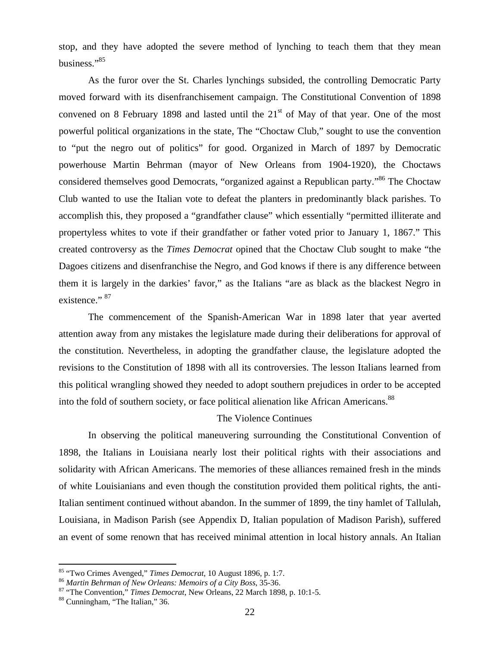stop, and they have adopted the severe method of lynching to teach them that they mean business."85

As the furor over the St. Charles lynchings subsided, the controlling Democratic Party moved forward with its disenfranchisement campaign. The Constitutional Convention of 1898 convened on 8 February 1898 and lasted until the  $21<sup>st</sup>$  of May of that year. One of the most powerful political organizations in the state, The "Choctaw Club," sought to use the convention to "put the negro out of politics" for good. Organized in March of 1897 by Democratic powerhouse Martin Behrman (mayor of New Orleans from 1904-1920), the Choctaws considered themselves good Democrats, "organized against a Republican party."86 The Choctaw Club wanted to use the Italian vote to defeat the planters in predominantly black parishes. To accomplish this, they proposed a "grandfather clause" which essentially "permitted illiterate and propertyless whites to vote if their grandfather or father voted prior to January 1, 1867." This created controversy as the *Times Democrat* opined that the Choctaw Club sought to make "the Dagoes citizens and disenfranchise the Negro, and God knows if there is any difference between them it is largely in the darkies' favor," as the Italians "are as black as the blackest Negro in existence." 87

The commencement of the Spanish-American War in 1898 later that year averted attention away from any mistakes the legislature made during their deliberations for approval of the constitution. Nevertheless, in adopting the grandfather clause, the legislature adopted the revisions to the Constitution of 1898 with all its controversies. The lesson Italians learned from this political wrangling showed they needed to adopt southern prejudices in order to be accepted into the fold of southern society, or face political alienation like African Americans.<sup>88</sup>

### The Violence Continues

In observing the political maneuvering surrounding the Constitutional Convention of 1898, the Italians in Louisiana nearly lost their political rights with their associations and solidarity with African Americans. The memories of these alliances remained fresh in the minds of white Louisianians and even though the constitution provided them political rights, the anti-Italian sentiment continued without abandon. In the summer of 1899, the tiny hamlet of Tallulah, Louisiana, in Madison Parish (see Appendix D, Italian population of Madison Parish), suffered an event of some renown that has received minimal attention in local history annals. An Italian

<sup>&</sup>lt;sup>85</sup> "Two Crimes Avenged," Times Democrat, 10 August 1896, p. 1:7.

<sup>&</sup>lt;sup>86</sup> Martin Behrman of New Orleans: Memoirs of a City Boss, 35-36.<br><sup>87</sup> "The Convention," *Times Democrat*, New Orleans, 22 March 1898, p. 10:1-5.<br><sup>88</sup> Cunningham, "The Italian," 36.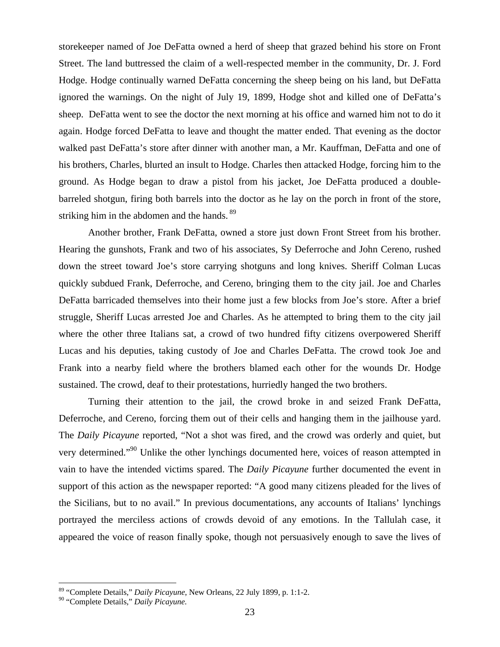storekeeper named of Joe DeFatta owned a herd of sheep that grazed behind his store on Front Street. The land buttressed the claim of a well-respected member in the community, Dr. J. Ford Hodge. Hodge continually warned DeFatta concerning the sheep being on his land, but DeFatta ignored the warnings. On the night of July 19, 1899, Hodge shot and killed one of DeFatta's sheep. DeFatta went to see the doctor the next morning at his office and warned him not to do it again. Hodge forced DeFatta to leave and thought the matter ended. That evening as the doctor walked past DeFatta's store after dinner with another man, a Mr. Kauffman, DeFatta and one of his brothers, Charles, blurted an insult to Hodge. Charles then attacked Hodge, forcing him to the ground. As Hodge began to draw a pistol from his jacket, Joe DeFatta produced a doublebarreled shotgun, firing both barrels into the doctor as he lay on the porch in front of the store, striking him in the abdomen and the hands. <sup>89</sup>

Another brother, Frank DeFatta, owned a store just down Front Street from his brother. Hearing the gunshots, Frank and two of his associates, Sy Deferroche and John Cereno, rushed down the street toward Joe's store carrying shotguns and long knives. Sheriff Colman Lucas quickly subdued Frank, Deferroche, and Cereno, bringing them to the city jail. Joe and Charles DeFatta barricaded themselves into their home just a few blocks from Joe's store. After a brief struggle, Sheriff Lucas arrested Joe and Charles. As he attempted to bring them to the city jail where the other three Italians sat, a crowd of two hundred fifty citizens overpowered Sheriff Lucas and his deputies, taking custody of Joe and Charles DeFatta. The crowd took Joe and Frank into a nearby field where the brothers blamed each other for the wounds Dr. Hodge sustained. The crowd, deaf to their protestations, hurriedly hanged the two brothers.

Turning their attention to the jail, the crowd broke in and seized Frank DeFatta, Deferroche, and Cereno, forcing them out of their cells and hanging them in the jailhouse yard. The *Daily Picayune* reported, "Not a shot was fired, and the crowd was orderly and quiet, but very determined."90 Unlike the other lynchings documented here, voices of reason attempted in vain to have the intended victims spared. The *Daily Picayune* further documented the event in support of this action as the newspaper reported: "A good many citizens pleaded for the lives of the Sicilians, but to no avail." In previous documentations, any accounts of Italians' lynchings portrayed the merciless actions of crowds devoid of any emotions. In the Tallulah case, it appeared the voice of reason finally spoke, though not persuasively enough to save the lives of

<sup>89 &</sup>quot;Complete Details," *Daily Picayune*, New Orleans, 22 July 1899, p. 1:1-2.

<sup>90 &</sup>quot;Complete Details," *Daily Picayune.*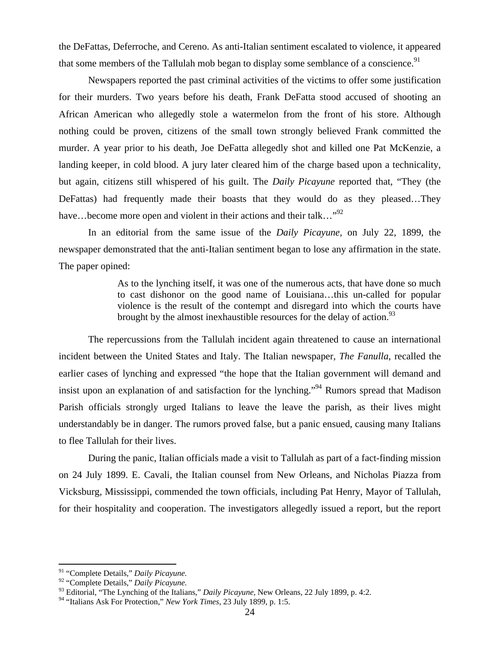the DeFattas, Deferroche, and Cereno. As anti-Italian sentiment escalated to violence, it appeared that some members of the Tallulah mob began to display some semblance of a conscience.<sup>91</sup>

Newspapers reported the past criminal activities of the victims to offer some justification for their murders. Two years before his death, Frank DeFatta stood accused of shooting an African American who allegedly stole a watermelon from the front of his store. Although nothing could be proven, citizens of the small town strongly believed Frank committed the murder. A year prior to his death, Joe DeFatta allegedly shot and killed one Pat McKenzie, a landing keeper, in cold blood. A jury later cleared him of the charge based upon a technicality, but again, citizens still whispered of his guilt. The *Daily Picayune* reported that, "They (the DeFattas) had frequently made their boasts that they would do as they pleased…They have…become more open and violent in their actions and their talk…"<sup>92</sup>

In an editorial from the same issue of the *Daily Picayune,* on July 22, 1899, the newspaper demonstrated that the anti-Italian sentiment began to lose any affirmation in the state. The paper opined:

> As to the lynching itself, it was one of the numerous acts, that have done so much to cast dishonor on the good name of Louisiana…this un-called for popular violence is the result of the contempt and disregard into which the courts have brought by the almost inexhaustible resources for the delay of action.<sup>93</sup>

 The repercussions from the Tallulah incident again threatened to cause an international incident between the United States and Italy. The Italian newspaper, *The Fanulla*, recalled the earlier cases of lynching and expressed "the hope that the Italian government will demand and insist upon an explanation of and satisfaction for the lynching."94 Rumors spread that Madison Parish officials strongly urged Italians to leave the leave the parish, as their lives might understandably be in danger. The rumors proved false, but a panic ensued, causing many Italians to flee Tallulah for their lives.

 During the panic, Italian officials made a visit to Tallulah as part of a fact-finding mission on 24 July 1899. E. Cavali, the Italian counsel from New Orleans, and Nicholas Piazza from Vicksburg, Mississippi, commended the town officials, including Pat Henry, Mayor of Tallulah, for their hospitality and cooperation. The investigators allegedly issued a report, but the report

<sup>91 &</sup>quot;Complete Details," *Daily Picayune.*

<sup>92 &</sup>quot;Complete Details," *Daily Picayune.*

<sup>93</sup> Editorial, "The Lynching of the Italians," *Daily Picayune*, New Orleans, 22 July 1899, p. 4:2.

<sup>94 &</sup>quot;Italians Ask For Protection," *New York Times*, 23 July 1899, p. 1:5.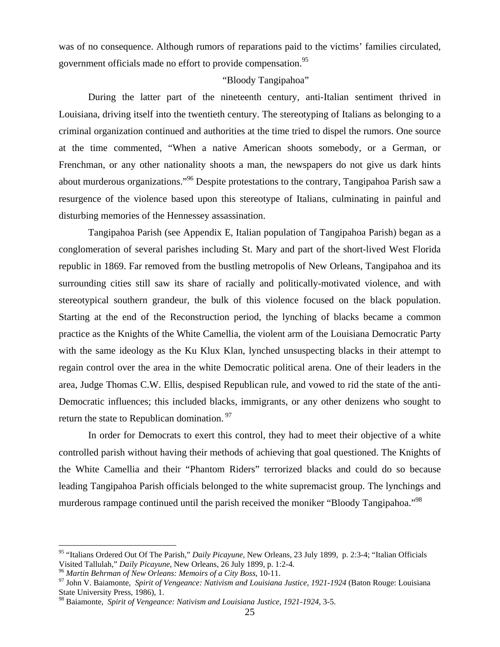was of no consequence. Although rumors of reparations paid to the victims' families circulated, government officials made no effort to provide compensation.<sup>95</sup>

### "Bloody Tangipahoa"

During the latter part of the nineteenth century, anti-Italian sentiment thrived in Louisiana, driving itself into the twentieth century. The stereotyping of Italians as belonging to a criminal organization continued and authorities at the time tried to dispel the rumors. One source at the time commented, "When a native American shoots somebody, or a German, or Frenchman, or any other nationality shoots a man, the newspapers do not give us dark hints about murderous organizations."96 Despite protestations to the contrary, Tangipahoa Parish saw a resurgence of the violence based upon this stereotype of Italians, culminating in painful and disturbing memories of the Hennessey assassination.

Tangipahoa Parish (see Appendix E, Italian population of Tangipahoa Parish) began as a conglomeration of several parishes including St. Mary and part of the short-lived West Florida republic in 1869. Far removed from the bustling metropolis of New Orleans, Tangipahoa and its surrounding cities still saw its share of racially and politically-motivated violence, and with stereotypical southern grandeur, the bulk of this violence focused on the black population. Starting at the end of the Reconstruction period, the lynching of blacks became a common practice as the Knights of the White Camellia, the violent arm of the Louisiana Democratic Party with the same ideology as the Ku Klux Klan, lynched unsuspecting blacks in their attempt to regain control over the area in the white Democratic political arena. One of their leaders in the area, Judge Thomas C.W. Ellis, despised Republican rule, and vowed to rid the state of the anti-Democratic influences; this included blacks, immigrants, or any other denizens who sought to return the state to Republican domination. 97

In order for Democrats to exert this control, they had to meet their objective of a white controlled parish without having their methods of achieving that goal questioned. The Knights of the White Camellia and their "Phantom Riders" terrorized blacks and could do so because leading Tangipahoa Parish officials belonged to the white supremacist group. The lynchings and murderous rampage continued until the parish received the moniker "Bloody Tangipahoa."98

<sup>95 &</sup>quot;Italians Ordered Out Of The Parish," *Daily Picayune,* New Orleans, 23 July 1899, p. 2:3-4; "Italian Officials Visited Tallulah," Daily Picayune, New Orleans, 26 July 1899, p. 1:2-4.<br><sup>96</sup> Martin Behrman of New Orleans: Memoirs of a City Boss, 10-11.<br><sup>97</sup> John V. Baiamonte, *Spirit of Vengeance: Nativism and Louisiana Justice, 1921-*

State University Press, 1986), 1.

<sup>98</sup> Baiamonte, *Spirit of Vengeance: Nativism and Louisiana Justice, 1921-1924*, 3-5.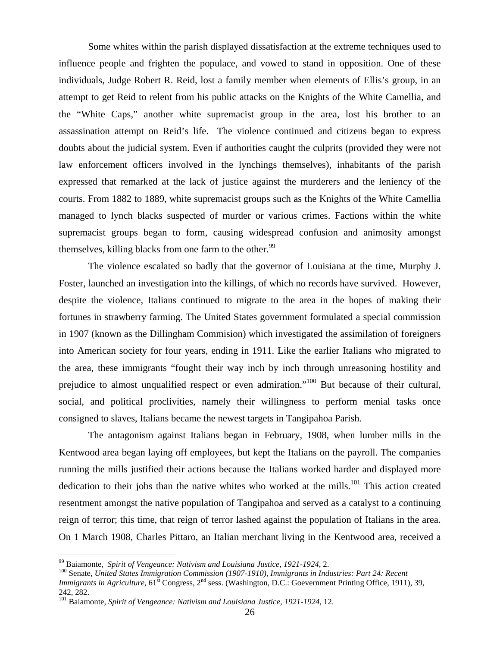Some whites within the parish displayed dissatisfaction at the extreme techniques used to influence people and frighten the populace, and vowed to stand in opposition. One of these individuals, Judge Robert R. Reid, lost a family member when elements of Ellis's group, in an attempt to get Reid to relent from his public attacks on the Knights of the White Camellia, and the "White Caps," another white supremacist group in the area, lost his brother to an assassination attempt on Reid's life. The violence continued and citizens began to express doubts about the judicial system. Even if authorities caught the culprits (provided they were not law enforcement officers involved in the lynchings themselves), inhabitants of the parish expressed that remarked at the lack of justice against the murderers and the leniency of the courts. From 1882 to 1889, white supremacist groups such as the Knights of the White Camellia managed to lynch blacks suspected of murder or various crimes. Factions within the white supremacist groups began to form, causing widespread confusion and animosity amongst themselves, killing blacks from one farm to the other.<sup>99</sup>

The violence escalated so badly that the governor of Louisiana at the time, Murphy J. Foster, launched an investigation into the killings, of which no records have survived. However, despite the violence, Italians continued to migrate to the area in the hopes of making their fortunes in strawberry farming. The United States government formulated a special commission in 1907 (known as the Dillingham Commision) which investigated the assimilation of foreigners into American society for four years, ending in 1911. Like the earlier Italians who migrated to the area, these immigrants "fought their way inch by inch through unreasoning hostility and prejudice to almost unqualified respect or even admiration."100 But because of their cultural, social, and political proclivities, namely their willingness to perform menial tasks once consigned to slaves, Italians became the newest targets in Tangipahoa Parish.

The antagonism against Italians began in February, 1908, when lumber mills in the Kentwood area began laying off employees, but kept the Italians on the payroll. The companies running the mills justified their actions because the Italians worked harder and displayed more dedication to their jobs than the native whites who worked at the mills.<sup>101</sup> This action created resentment amongst the native population of Tangipahoa and served as a catalyst to a continuing reign of terror; this time, that reign of terror lashed against the population of Italians in the area. On 1 March 1908, Charles Pittaro, an Italian merchant living in the Kentwood area, received a

<sup>&</sup>lt;sup>99</sup> Baiamonte, *Spirit of Vengeance: Nativism and Louisiana Justice, 1921-1924, 2.*<br><sup>100</sup> Senate, *United States Immigration Commission (1907-1910), Immigrants in Industries: Part 24: Recent Immigrants in Agriculture*, 61<sup>st</sup> Congress, 2<sup>nd</sup> sess. (Washington, D.C.: Goevernment Printing Office, 1911), 39, 242, 282.

<sup>101</sup> Baiamonte, *Spirit of Vengeance: Nativism and Louisiana Justice, 1921-1924*, 12.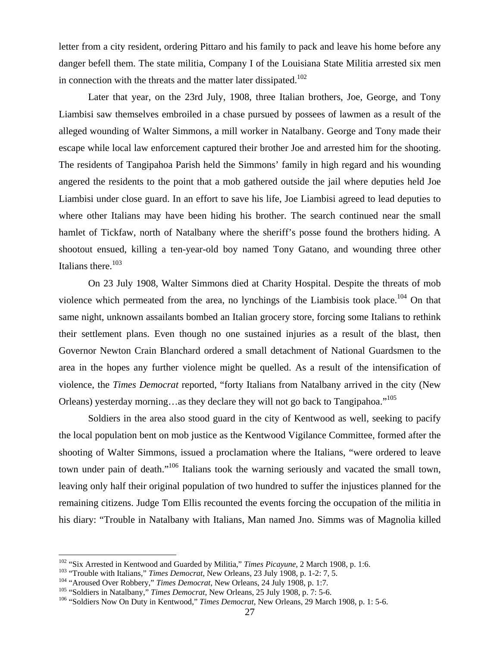letter from a city resident, ordering Pittaro and his family to pack and leave his home before any danger befell them. The state militia, Company I of the Louisiana State Militia arrested six men in connection with the threats and the matter later dissipated.<sup>102</sup>

Later that year, on the 23rd July, 1908, three Italian brothers, Joe, George, and Tony Liambisi saw themselves embroiled in a chase pursued by possees of lawmen as a result of the alleged wounding of Walter Simmons, a mill worker in Natalbany. George and Tony made their escape while local law enforcement captured their brother Joe and arrested him for the shooting. The residents of Tangipahoa Parish held the Simmons' family in high regard and his wounding angered the residents to the point that a mob gathered outside the jail where deputies held Joe Liambisi under close guard. In an effort to save his life, Joe Liambisi agreed to lead deputies to where other Italians may have been hiding his brother. The search continued near the small hamlet of Tickfaw, north of Natalbany where the sheriff's posse found the brothers hiding. A shootout ensued, killing a ten-year-old boy named Tony Gatano, and wounding three other Italians there. $103$ 

On 23 July 1908, Walter Simmons died at Charity Hospital. Despite the threats of mob violence which permeated from the area, no lynchings of the Liambisis took place.<sup>104</sup> On that same night, unknown assailants bombed an Italian grocery store, forcing some Italians to rethink their settlement plans. Even though no one sustained injuries as a result of the blast, then Governor Newton Crain Blanchard ordered a small detachment of National Guardsmen to the area in the hopes any further violence might be quelled. As a result of the intensification of violence, the *Times Democrat* reported, "forty Italians from Natalbany arrived in the city (New Orleans) yesterday morning…as they declare they will not go back to Tangipahoa."105

Soldiers in the area also stood guard in the city of Kentwood as well, seeking to pacify the local population bent on mob justice as the Kentwood Vigilance Committee, formed after the shooting of Walter Simmons, issued a proclamation where the Italians, "were ordered to leave town under pain of death."106 Italians took the warning seriously and vacated the small town, leaving only half their original population of two hundred to suffer the injustices planned for the remaining citizens. Judge Tom Ellis recounted the events forcing the occupation of the militia in his diary: "Trouble in Natalbany with Italians, Man named Jno. Simms was of Magnolia killed

<sup>&</sup>lt;sup>102</sup> "Six Arrested in Kentwood and Guarded by Militia," Times Picayune, 2 March 1908, p. 1:6.

<sup>&</sup>lt;sup>103</sup> "Trouble with Italians," *Times Democrat*, New Orleans, 23 July 1908, p. 1-2: 7, 5.<br><sup>104</sup> "Aroused Over Robbery," *Times Democrat*, New Orleans, 24 July 1908, p. 1:7.<br><sup>105</sup> "Soldiers in Natalbany," *Times Democrat*,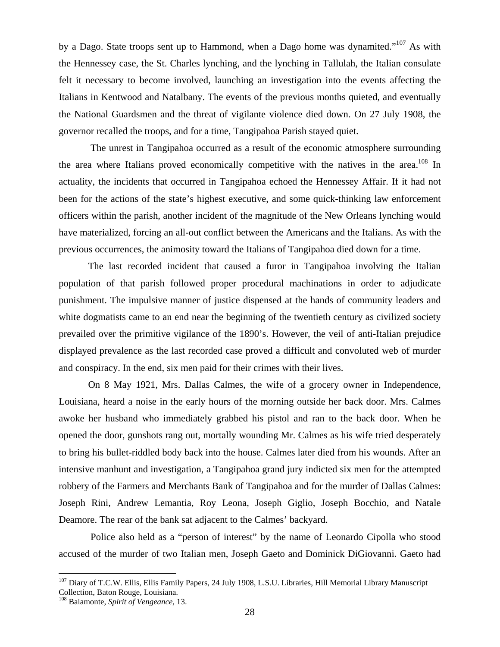by a Dago. State troops sent up to Hammond, when a Dago home was dynamited."107 As with the Hennessey case, the St. Charles lynching, and the lynching in Tallulah, the Italian consulate felt it necessary to become involved, launching an investigation into the events affecting the Italians in Kentwood and Natalbany. The events of the previous months quieted, and eventually the National Guardsmen and the threat of vigilante violence died down. On 27 July 1908, the governor recalled the troops, and for a time, Tangipahoa Parish stayed quiet.

 The unrest in Tangipahoa occurred as a result of the economic atmosphere surrounding the area where Italians proved economically competitive with the natives in the area.<sup>108</sup> In actuality, the incidents that occurred in Tangipahoa echoed the Hennessey Affair. If it had not been for the actions of the state's highest executive, and some quick-thinking law enforcement officers within the parish, another incident of the magnitude of the New Orleans lynching would have materialized, forcing an all-out conflict between the Americans and the Italians. As with the previous occurrences, the animosity toward the Italians of Tangipahoa died down for a time.

The last recorded incident that caused a furor in Tangipahoa involving the Italian population of that parish followed proper procedural machinations in order to adjudicate punishment. The impulsive manner of justice dispensed at the hands of community leaders and white dogmatists came to an end near the beginning of the twentieth century as civilized society prevailed over the primitive vigilance of the 1890's. However, the veil of anti-Italian prejudice displayed prevalence as the last recorded case proved a difficult and convoluted web of murder and conspiracy. In the end, six men paid for their crimes with their lives.

On 8 May 1921, Mrs. Dallas Calmes, the wife of a grocery owner in Independence, Louisiana, heard a noise in the early hours of the morning outside her back door. Mrs. Calmes awoke her husband who immediately grabbed his pistol and ran to the back door. When he opened the door, gunshots rang out, mortally wounding Mr. Calmes as his wife tried desperately to bring his bullet-riddled body back into the house. Calmes later died from his wounds. After an intensive manhunt and investigation, a Tangipahoa grand jury indicted six men for the attempted robbery of the Farmers and Merchants Bank of Tangipahoa and for the murder of Dallas Calmes: Joseph Rini, Andrew Lemantia, Roy Leona, Joseph Giglio, Joseph Bocchio, and Natale Deamore. The rear of the bank sat adjacent to the Calmes' backyard.

 Police also held as a "person of interest" by the name of Leonardo Cipolla who stood accused of the murder of two Italian men, Joseph Gaeto and Dominick DiGiovanni. Gaeto had

<sup>&</sup>lt;sup>107</sup> Diary of T.C.W. Ellis, Ellis Family Papers, 24 July 1908, L.S.U. Libraries, Hill Memorial Library Manuscript Collection, Baton Rouge, Louisiana.

<sup>108</sup> Baiamonte, *Spirit of Vengeance,* 13.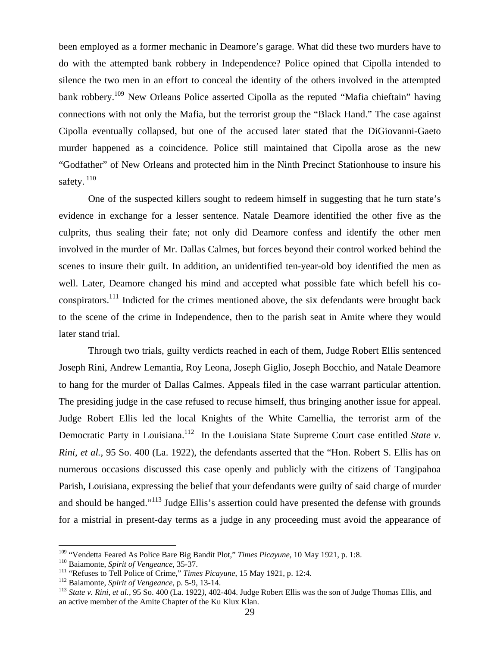been employed as a former mechanic in Deamore's garage. What did these two murders have to do with the attempted bank robbery in Independence? Police opined that Cipolla intended to silence the two men in an effort to conceal the identity of the others involved in the attempted bank robbery.<sup>109</sup> New Orleans Police asserted Cipolla as the reputed "Mafia chieftain" having connections with not only the Mafia, but the terrorist group the "Black Hand." The case against Cipolla eventually collapsed, but one of the accused later stated that the DiGiovanni-Gaeto murder happened as a coincidence. Police still maintained that Cipolla arose as the new "Godfather" of New Orleans and protected him in the Ninth Precinct Stationhouse to insure his safety.<sup>110</sup>

One of the suspected killers sought to redeem himself in suggesting that he turn state's evidence in exchange for a lesser sentence. Natale Deamore identified the other five as the culprits, thus sealing their fate; not only did Deamore confess and identify the other men involved in the murder of Mr. Dallas Calmes, but forces beyond their control worked behind the scenes to insure their guilt. In addition, an unidentified ten-year-old boy identified the men as well. Later, Deamore changed his mind and accepted what possible fate which befell his coconspirators.<sup>111</sup> Indicted for the crimes mentioned above, the six defendants were brought back to the scene of the crime in Independence, then to the parish seat in Amite where they would later stand trial.

Through two trials, guilty verdicts reached in each of them, Judge Robert Ellis sentenced Joseph Rini, Andrew Lemantia, Roy Leona, Joseph Giglio, Joseph Bocchio, and Natale Deamore to hang for the murder of Dallas Calmes. Appeals filed in the case warrant particular attention. The presiding judge in the case refused to recuse himself, thus bringing another issue for appeal. Judge Robert Ellis led the local Knights of the White Camellia, the terrorist arm of the Democratic Party in Louisiana.<sup>112</sup> In the Louisiana State Supreme Court case entitled *State v*. *Rini, et al.,* 95 So. 400 (La. 1922), the defendants asserted that the "Hon. Robert S. Ellis has on numerous occasions discussed this case openly and publicly with the citizens of Tangipahoa Parish, Louisiana, expressing the belief that your defendants were guilty of said charge of murder and should be hanged."<sup>113</sup> Judge Ellis's assertion could have presented the defense with grounds for a mistrial in present-day terms as a judge in any proceeding must avoid the appearance of

<sup>&</sup>lt;sup>109</sup> "Vendetta Feared As Police Bare Big Bandit Plot," *Times Picayune*, 10 May 1921, p. 1:8.<br><sup>110</sup> Baiamonte, *Spirit of Vengeance*, 35-37.<br><sup>111</sup> "Refuses to Tell Police of Crime," *Times Picayune*, 15 May 1921, p. 12:4. an active member of the Amite Chapter of the Ku Klux Klan.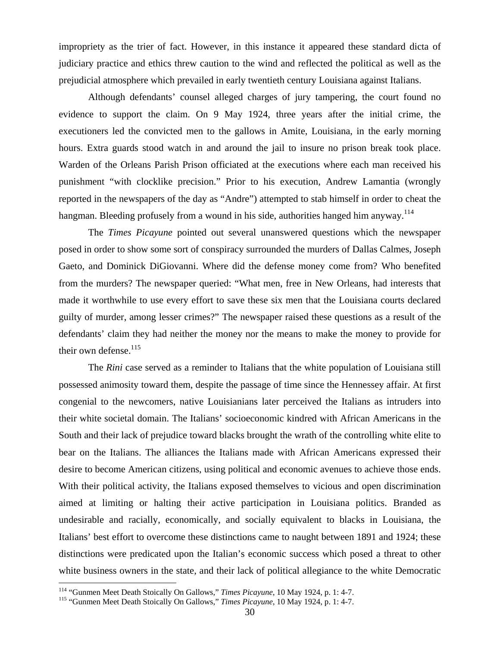impropriety as the trier of fact. However, in this instance it appeared these standard dicta of judiciary practice and ethics threw caution to the wind and reflected the political as well as the prejudicial atmosphere which prevailed in early twentieth century Louisiana against Italians.

Although defendants' counsel alleged charges of jury tampering, the court found no evidence to support the claim. On 9 May 1924, three years after the initial crime, the executioners led the convicted men to the gallows in Amite, Louisiana, in the early morning hours. Extra guards stood watch in and around the jail to insure no prison break took place. Warden of the Orleans Parish Prison officiated at the executions where each man received his punishment "with clocklike precision." Prior to his execution, Andrew Lamantia (wrongly reported in the newspapers of the day as "Andre") attempted to stab himself in order to cheat the hangman. Bleeding profusely from a wound in his side, authorities hanged him anyway.<sup>114</sup>

The *Times Picayune* pointed out several unanswered questions which the newspaper posed in order to show some sort of conspiracy surrounded the murders of Dallas Calmes, Joseph Gaeto, and Dominick DiGiovanni. Where did the defense money come from? Who benefited from the murders? The newspaper queried: "What men, free in New Orleans, had interests that made it worthwhile to use every effort to save these six men that the Louisiana courts declared guilty of murder, among lesser crimes?" The newspaper raised these questions as a result of the defendants' claim they had neither the money nor the means to make the money to provide for their own defense. $115$ 

The *Rini* case served as a reminder to Italians that the white population of Louisiana still possessed animosity toward them, despite the passage of time since the Hennessey affair. At first congenial to the newcomers, native Louisianians later perceived the Italians as intruders into their white societal domain. The Italians' socioeconomic kindred with African Americans in the South and their lack of prejudice toward blacks brought the wrath of the controlling white elite to bear on the Italians. The alliances the Italians made with African Americans expressed their desire to become American citizens, using political and economic avenues to achieve those ends. With their political activity, the Italians exposed themselves to vicious and open discrimination aimed at limiting or halting their active participation in Louisiana politics. Branded as undesirable and racially, economically, and socially equivalent to blacks in Louisiana, the Italians' best effort to overcome these distinctions came to naught between 1891 and 1924; these distinctions were predicated upon the Italian's economic success which posed a threat to other white business owners in the state, and their lack of political allegiance to the white Democratic

<sup>&</sup>lt;sup>114</sup> "Gunmen Meet Death Stoically On Gallows," *Times Picayune*, 10 May 1924, p. 1: 4-7.<br><sup>115</sup> "Gunmen Meet Death Stoically On Gallows," *Times Picayune*, 10 May 1924, p. 1: 4-7.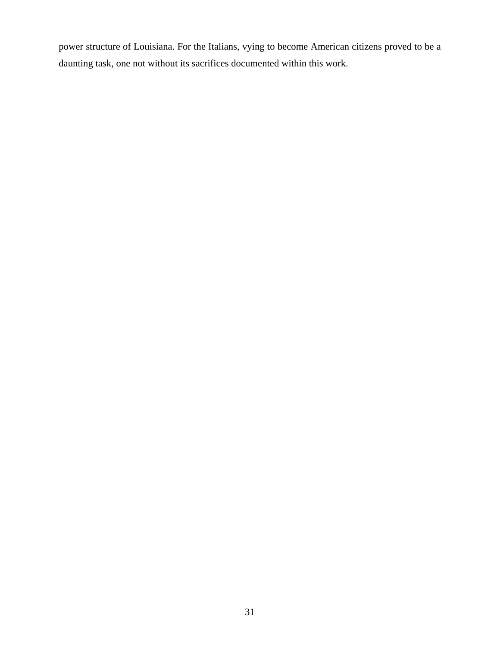power structure of Louisiana. For the Italians, vying to become American citizens proved to be a daunting task, one not without its sacrifices documented within this work.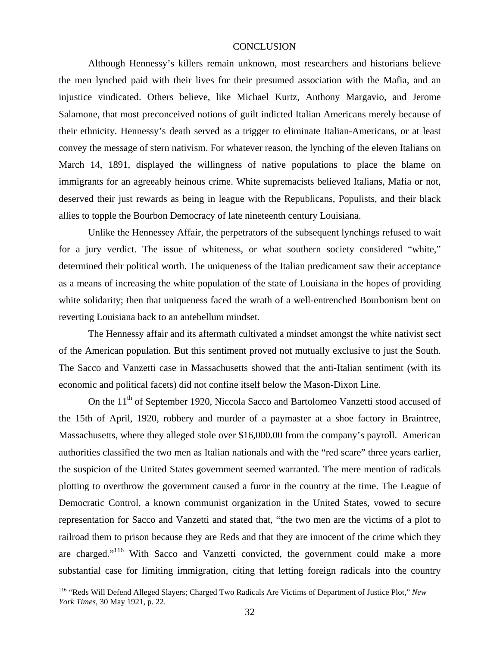#### **CONCLUSION**

Although Hennessy's killers remain unknown, most researchers and historians believe the men lynched paid with their lives for their presumed association with the Mafia, and an injustice vindicated. Others believe, like Michael Kurtz, Anthony Margavio, and Jerome Salamone, that most preconceived notions of guilt indicted Italian Americans merely because of their ethnicity. Hennessy's death served as a trigger to eliminate Italian-Americans, or at least convey the message of stern nativism. For whatever reason, the lynching of the eleven Italians on March 14, 1891, displayed the willingness of native populations to place the blame on immigrants for an agreeably heinous crime. White supremacists believed Italians, Mafia or not, deserved their just rewards as being in league with the Republicans, Populists, and their black allies to topple the Bourbon Democracy of late nineteenth century Louisiana.

Unlike the Hennessey Affair, the perpetrators of the subsequent lynchings refused to wait for a jury verdict. The issue of whiteness, or what southern society considered "white," determined their political worth. The uniqueness of the Italian predicament saw their acceptance as a means of increasing the white population of the state of Louisiana in the hopes of providing white solidarity; then that uniqueness faced the wrath of a well-entrenched Bourbonism bent on reverting Louisiana back to an antebellum mindset.

 The Hennessy affair and its aftermath cultivated a mindset amongst the white nativist sect of the American population. But this sentiment proved not mutually exclusive to just the South. The Sacco and Vanzetti case in Massachusetts showed that the anti-Italian sentiment (with its economic and political facets) did not confine itself below the Mason-Dixon Line.

On the 11<sup>th</sup> of September 1920, Niccola Sacco and Bartolomeo Vanzetti stood accused of the 15th of April, 1920, robbery and murder of a paymaster at a shoe factory in Braintree, Massachusetts, where they alleged stole over \$16,000.00 from the company's payroll. American authorities classified the two men as Italian nationals and with the "red scare" three years earlier, the suspicion of the United States government seemed warranted. The mere mention of radicals plotting to overthrow the government caused a furor in the country at the time. The League of Democratic Control, a known communist organization in the United States, vowed to secure representation for Sacco and Vanzetti and stated that, "the two men are the victims of a plot to railroad them to prison because they are Reds and that they are innocent of the crime which they are charged."116 With Sacco and Vanzetti convicted, the government could make a more substantial case for limiting immigration, citing that letting foreign radicals into the country

<sup>116 &</sup>quot;Reds Will Defend Alleged Slayers; Charged Two Radicals Are Victims of Department of Justice Plot," *New York Times,* 30 May 1921, p. 22.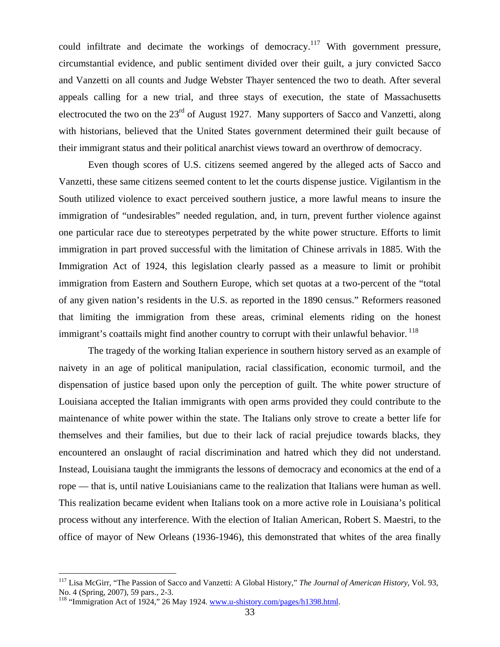could infiltrate and decimate the workings of democracy.<sup>117</sup> With government pressure, circumstantial evidence, and public sentiment divided over their guilt, a jury convicted Sacco and Vanzetti on all counts and Judge Webster Thayer sentenced the two to death. After several appeals calling for a new trial, and three stays of execution, the state of Massachusetts electrocuted the two on the 23<sup>rd</sup> of August 1927. Many supporters of Sacco and Vanzetti, along with historians, believed that the United States government determined their guilt because of their immigrant status and their political anarchist views toward an overthrow of democracy.

Even though scores of U.S. citizens seemed angered by the alleged acts of Sacco and Vanzetti, these same citizens seemed content to let the courts dispense justice. Vigilantism in the South utilized violence to exact perceived southern justice, a more lawful means to insure the immigration of "undesirables" needed regulation, and, in turn, prevent further violence against one particular race due to stereotypes perpetrated by the white power structure. Efforts to limit immigration in part proved successful with the limitation of Chinese arrivals in 1885. With the Immigration Act of 1924, this legislation clearly passed as a measure to limit or prohibit immigration from Eastern and Southern Europe, which set quotas at a two-percent of the "total of any given nation's residents in the U.S. as reported in the 1890 census." Reformers reasoned that limiting the immigration from these areas, criminal elements riding on the honest immigrant's coattails might find another country to corrupt with their unlawful behavior.  $^{118}$ 

The tragedy of the working Italian experience in southern history served as an example of naivety in an age of political manipulation, racial classification, economic turmoil, and the dispensation of justice based upon only the perception of guilt. The white power structure of Louisiana accepted the Italian immigrants with open arms provided they could contribute to the maintenance of white power within the state. The Italians only strove to create a better life for themselves and their families, but due to their lack of racial prejudice towards blacks, they encountered an onslaught of racial discrimination and hatred which they did not understand. Instead, Louisiana taught the immigrants the lessons of democracy and economics at the end of a rope — that is, until native Louisianians came to the realization that Italians were human as well. This realization became evident when Italians took on a more active role in Louisiana's political process without any interference. With the election of Italian American, Robert S. Maestri, to the office of mayor of New Orleans (1936-1946), this demonstrated that whites of the area finally

<sup>117</sup> Lisa McGirr, "The Passion of Sacco and Vanzetti: A Global History," *The Journal of American History*, Vol. 93, No. 4 (Spring, 2007), 59 pars., 2-3.

<sup>&</sup>lt;sup>118</sup> "Immigration Act of 1924," 26 May 1924. www.u-shistory.com/pages/h1398.html.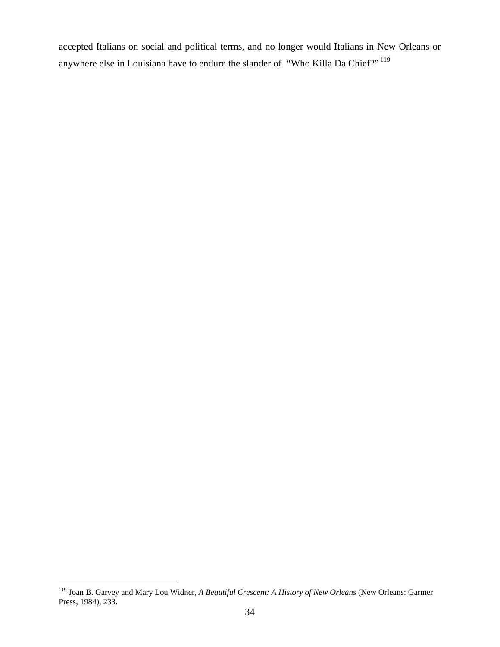accepted Italians on social and political terms, and no longer would Italians in New Orleans or anywhere else in Louisiana have to endure the slander of "Who Killa Da Chief?" 119

1

<sup>119</sup> Joan B. Garvey and Mary Lou Widner, *A Beautiful Crescent: A History of New Orleans* (New Orleans: Garmer Press, 1984), 233.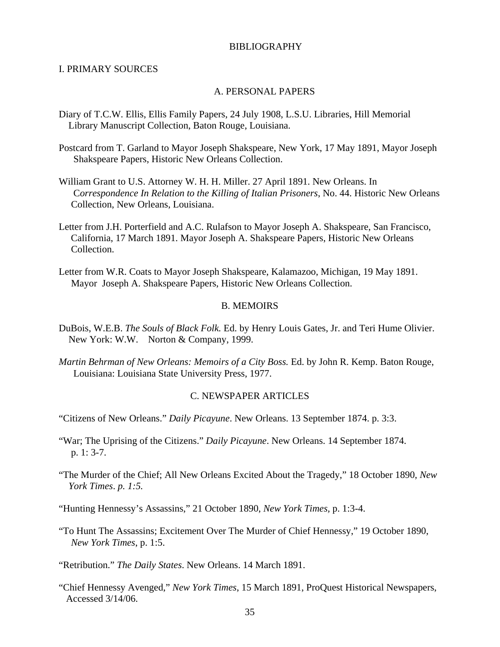#### BIBLIOGRAPHY

#### I. PRIMARY SOURCES

#### A. PERSONAL PAPERS

- Diary of T.C.W. Ellis, Ellis Family Papers, 24 July 1908, L.S.U. Libraries, Hill Memorial Library Manuscript Collection, Baton Rouge, Louisiana.
- Postcard from T. Garland to Mayor Joseph Shakspeare, New York, 17 May 1891, Mayor Joseph Shakspeare Papers, Historic New Orleans Collection.
- William Grant to U.S. Attorney W. H. H. Miller. 27 April 1891. New Orleans. In C*orrespondence In Relation to the Killing of Italian Prisoners*, No. 44. Historic New Orleans Collection, New Orleans, Louisiana.
- Letter from J.H. Porterfield and A.C. Rulafson to Mayor Joseph A. Shakspeare, San Francisco, California, 17 March 1891. Mayor Joseph A. Shakspeare Papers, Historic New Orleans Collection.
- Letter from W.R. Coats to Mayor Joseph Shakspeare, Kalamazoo, Michigan, 19 May 1891. Mayor Joseph A. Shakspeare Papers, Historic New Orleans Collection.

### B. MEMOIRS

- DuBois, W.E.B. *The Souls of Black Folk.* Ed. by Henry Louis Gates, Jr. and Teri Hume Olivier. New York: W.W. Norton & Company, 1999.
- *Martin Behrman of New Orleans: Memoirs of a City Boss.* Ed. by John R. Kemp. Baton Rouge, Louisiana: Louisiana State University Press, 1977.

### C. NEWSPAPER ARTICLES

- "Citizens of New Orleans." *Daily Picayune*. New Orleans. 13 September 1874. p. 3:3.
- "War; The Uprising of the Citizens." *Daily Picayune*. New Orleans. 14 September 1874. p. 1: 3-7.
- "The Murder of the Chief; All New Orleans Excited About the Tragedy," 18 October 1890, *New York Times*. *p. 1:5.*

"Hunting Hennessy's Assassins," 21 October 1890, *New York Times,* p. 1:3-4.

"To Hunt The Assassins; Excitement Over The Murder of Chief Hennessy," 19 October 1890, *New York Times*, p. 1:5.

"Retribution." *The Daily States*. New Orleans. 14 March 1891.

"Chief Hennessy Avenged," *New York Times*, 15 March 1891, ProQuest Historical Newspapers, Accessed 3/14/06.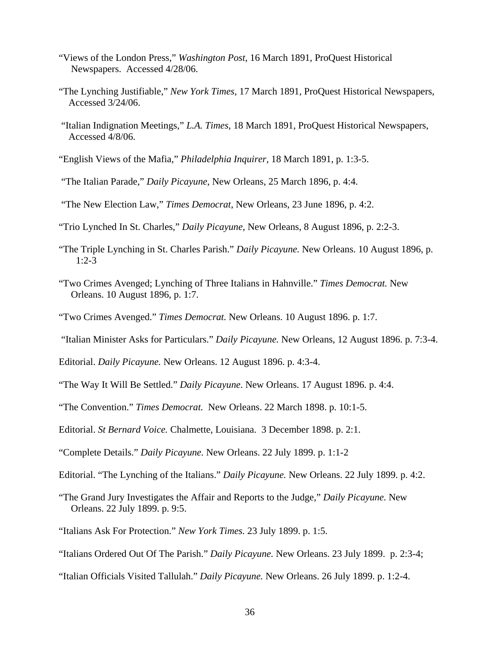- "Views of the London Press," *Washington Post*, 16 March 1891, ProQuest Historical Newspapers. Accessed 4/28/06.
- "The Lynching Justifiable," *New York Times*, 17 March 1891, ProQuest Historical Newspapers, Accessed 3/24/06.
- "Italian Indignation Meetings," *L.A. Times*, 18 March 1891, ProQuest Historical Newspapers, Accessed 4/8/06.
- "English Views of the Mafia," *Philadelphia Inquirer*, 18 March 1891, p. 1:3-5.
- "The Italian Parade," *Daily Picayune*, New Orleans, 25 March 1896, p. 4:4.
- "The New Election Law," *Times Democrat*, New Orleans, 23 June 1896, p. 4:2.
- "Trio Lynched In St. Charles," *Daily Picayune*, New Orleans, 8 August 1896, p. 2:2-3.
- "The Triple Lynching in St. Charles Parish." *Daily Picayune.* New Orleans. 10 August 1896, p. 1:2-3
- "Two Crimes Avenged; Lynching of Three Italians in Hahnville." *Times Democrat.* New Orleans. 10 August 1896, p. 1:7.
- "Two Crimes Avenged." *Times Democrat.* New Orleans. 10 August 1896. p. 1:7.
- "Italian Minister Asks for Particulars." *Daily Picayune.* New Orleans, 12 August 1896. p. 7:3-4.
- Editorial. *Daily Picayune.* New Orleans. 12 August 1896. p. 4:3-4.
- "The Way It Will Be Settled." *Daily Picayune*. New Orleans. 17 August 1896. p. 4:4.
- "The Convention." *Times Democrat.* New Orleans. 22 March 1898. p. 10:1-5.
- Editorial. *St Bernard Voice.* Chalmette, Louisiana. 3 December 1898. p. 2:1.
- "Complete Details." *Daily Picayune.* New Orleans. 22 July 1899. p. 1:1-2
- Editorial. "The Lynching of the Italians." *Daily Picayune.* New Orleans. 22 July 1899. p. 4:2.
- "The Grand Jury Investigates the Affair and Reports to the Judge," *Daily Picayune.* New Orleans. 22 July 1899. p. 9:5.
- "Italians Ask For Protection." *New York Times.* 23 July 1899. p. 1:5.
- "Italians Ordered Out Of The Parish." *Daily Picayune.* New Orleans. 23 July 1899. p. 2:3-4;
- "Italian Officials Visited Tallulah." *Daily Picayune.* New Orleans. 26 July 1899. p. 1:2-4.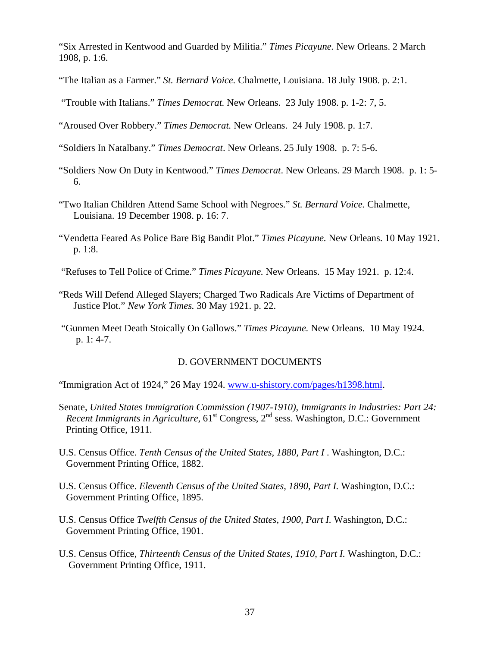"Six Arrested in Kentwood and Guarded by Militia." *Times Picayune.* New Orleans. 2 March 1908, p. 1:6.

- "The Italian as a Farmer." *St. Bernard Voice.* Chalmette, Louisiana. 18 July 1908. p. 2:1.
- "Trouble with Italians." *Times Democrat.* New Orleans. 23 July 1908. p. 1-2: 7, 5.
- "Aroused Over Robbery." *Times Democrat.* New Orleans. 24 July 1908. p. 1:7.
- "Soldiers In Natalbany." *Times Democrat*. New Orleans. 25 July 1908. p. 7: 5-6.
- "Soldiers Now On Duty in Kentwood." *Times Democrat*. New Orleans. 29 March 1908. p. 1: 5- 6.
- "Two Italian Children Attend Same School with Negroes." *St. Bernard Voice.* Chalmette, Louisiana. 19 December 1908. p. 16: 7.
- "Vendetta Feared As Police Bare Big Bandit Plot." *Times Picayune.* New Orleans. 10 May 1921. p. 1:8.
- "Refuses to Tell Police of Crime." *Times Picayune.* New Orleans. 15 May 1921. p. 12:4.
- "Reds Will Defend Alleged Slayers; Charged Two Radicals Are Victims of Department of Justice Plot." *New York Times.* 30 May 1921. p. 22.
- "Gunmen Meet Death Stoically On Gallows." *Times Picayune.* New Orleans. 10 May 1924. p. 1: 4-7.

# D. GOVERNMENT DOCUMENTS

"Immigration Act of 1924," 26 May 1924. www.u-shistory.com/pages/h1398.html.

- Senate, *United States Immigration Commission (1907-1910), Immigrants in Industries: Part 24: Recent Immigrants in Agriculture*,  $61^{st}$  Congress,  $2^{nd}$  sess. Washington, D.C.: Government Printing Office, 1911.
- U.S. Census Office. *Tenth Census of the United States, 1880, Part I* . Washington, D.C.: Government Printing Office, 1882.
- U.S. Census Office. *Eleventh Census of the United States, 1890, Part I.* Washington, D.C.: Government Printing Office, 1895.
- U.S. Census Office *Twelfth Census of the United States, 1900, Part I.* Washington, D.C.: Government Printing Office, 1901.
- U.S. Census Office, *Thirteenth Census of the United States, 1910, Part I.* Washington, D.C.: Government Printing Office, 1911.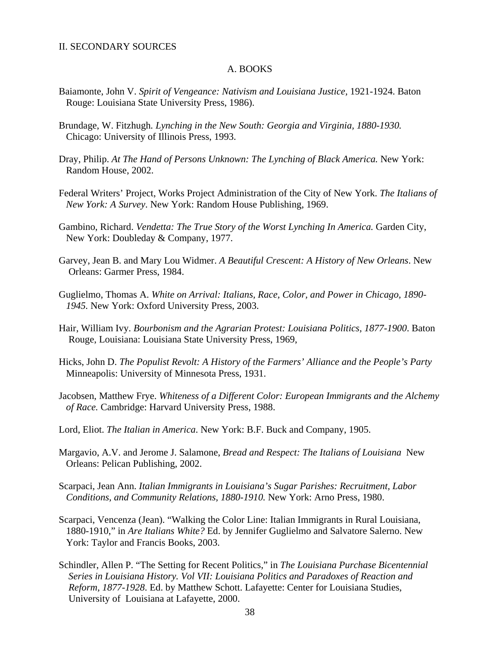#### II. SECONDARY SOURCES

#### A. BOOKS

- Baiamonte, John V. Spirit of Vengeance: Nativism and Louisiana Justice, 1921-1924. Baton Rouge: Louisiana State University Press, 1986).
- Brundage, W. Fitzhugh*. Lynching in the New South: Georgia and Virginia, 1880-1930.*  Chicago: University of Illinois Press, 1993.
- Dray, Philip. *At The Hand of Persons Unknown: The Lynching of Black America.* New York: Random House, 2002.
- Federal Writers' Project, Works Project Administration of the City of New York. *The Italians of New York: A Survey*. New York: Random House Publishing, 1969.
- Gambino, Richard. *Vendetta: The True Story of the Worst Lynching In America.* Garden City, New York: Doubleday & Company, 1977.
- Garvey, Jean B. and Mary Lou Widmer. *A Beautiful Crescent: A History of New Orleans*. New Orleans: Garmer Press, 1984.
- Guglielmo, Thomas A. *White on Arrival: Italians, Race, Color, and Power in Chicago, 1890- 1945.* New York: Oxford University Press, 2003.
- Hair, William Ivy. *Bourbonism and the Agrarian Protest: Louisiana Politics, 1877-1900*. Baton Rouge, Louisiana: Louisiana State University Press, 1969,
- Hicks, John D. *The Populist Revolt: A History of the Farmers' Alliance and the People's Party Minneapolis: University of Minnesota Press, 1931.*
- Jacobsen, Matthew Frye. *Whiteness of a Different Color: European Immigrants and the Alchemy of Race.* Cambridge: Harvard University Press, 1988.
- Lord, Eliot. *The Italian in America*. New York: B.F. Buck and Company, 1905.
- Margavio, A.V. and Jerome J. Salamone, *Bread and Respect: The Italians of Louisiana* New Orleans: Pelican Publishing, 2002.
- Scarpaci, Jean Ann. *Italian Immigrants in Louisiana's Sugar Parishes: Recruitment, Labor Conditions, and Community Relations, 1880-1910.* New York: Arno Press, 1980.
- Scarpaci, Vencenza (Jean). "Walking the Color Line: Italian Immigrants in Rural Louisiana, 1880-1910," in *Are Italians White?* Ed. by Jennifer Guglielmo and Salvatore Salerno. New York: Taylor and Francis Books, 2003.
- Schindler, Allen P. "The Setting for Recent Politics," in *The Louisiana Purchase Bicentennial Series in Louisiana History. Vol VII: Louisiana Politics and Paradoxes of Reaction and Reform, 1877-1928*. Ed. by Matthew Schott. Lafayette: Center for Louisiana Studies, University of Louisiana at Lafayette, 2000.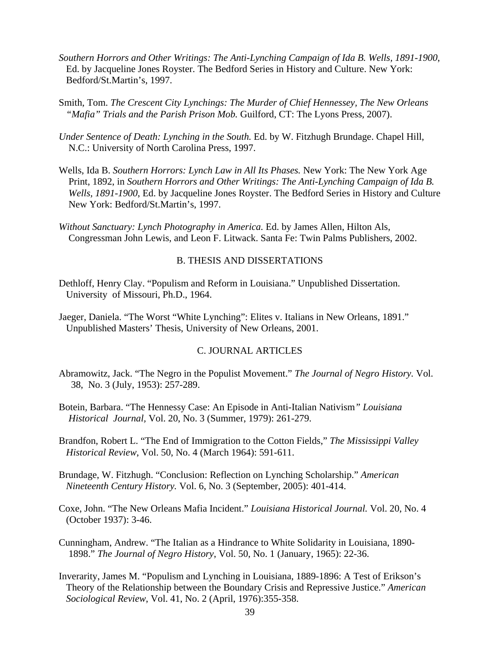- *Southern Horrors and Other Writings: The Anti-Lynching Campaign of Ida B. Wells, 1891-1900*, Ed. by Jacqueline Jones Royster. The Bedford Series in History and Culture. New York: Bedford/St.Martin's, 1997.
- Smith, Tom. *The Crescent City Lynchings: The Murder of Chief Hennessey, The New Orleans "Mafia" Trials and the Parish Prison Mob.* Guilford, CT: The Lyons Press, 2007).
- *Under Sentence of Death: Lynching in the South.* Ed. by W. Fitzhugh Brundage. Chapel Hill, N.C.: University of North Carolina Press, 1997.
- Wells, Ida B. *Southern Horrors: Lynch Law in All Its Phases.* New York: The New York Age Print, 1892, in *Southern Horrors and Other Writings: The Anti-Lynching Campaign of Ida B. Wells, 1891-1900*, Ed. by Jacqueline Jones Royster. The Bedford Series in History and Culture New York: Bedford/St.Martin's, 1997.
- *Without Sanctuary: Lynch Photography in America.* Ed. by James Allen, Hilton Als, Congressman John Lewis, and Leon F. Litwack. Santa Fe: Twin Palms Publishers, 2002.

#### B. THESIS AND DISSERTATIONS

- Dethloff, Henry Clay. "Populism and Reform in Louisiana." Unpublished Dissertation. University of Missouri, Ph.D., 1964.
- Jaeger, Daniela. "The Worst "White Lynching": Elites v. Italians in New Orleans, 1891." Unpublished Masters' Thesis, University of New Orleans, 2001.

### C. JOURNAL ARTICLES

- Abramowitz, Jack. "The Negro in the Populist Movement." *The Journal of Negro History.* Vol. 38, No. 3 (July, 1953): 257-289.
- Botein*,* Barbara. "The Hennessy Case: An Episode in Anti-Italian Nativism*" Louisiana Historical Journal,* Vol. 20, No. 3 (Summer, 1979): 261-279.

Brandfon, Robert L. "The End of Immigration to the Cotton Fields," *The Mississippi Valley Historical Review*, Vol. 50, No. 4 (March 1964): 591-611.

- Brundage, W. Fitzhugh. "Conclusion: Reflection on Lynching Scholarship." *American Nineteenth Century History.* Vol. 6, No. 3 (September, 2005): 401-414.
- Coxe, John. "The New Orleans Mafia Incident." *Louisiana Historical Journal.* Vol. 20, No. 4 (October 1937): 3-46.
- Cunningham, Andrew. "The Italian as a Hindrance to White Solidarity in Louisiana, 1890- 1898." *The Journal of Negro History*, Vol. 50, No. 1 (January, 1965): 22-36.
- Inverarity, James M. "Populism and Lynching in Louisiana, 1889-1896: A Test of Erikson's Theory of the Relationship between the Boundary Crisis and Repressive Justice." *American Sociological Review*, Vol. 41, No. 2 (April, 1976):355-358.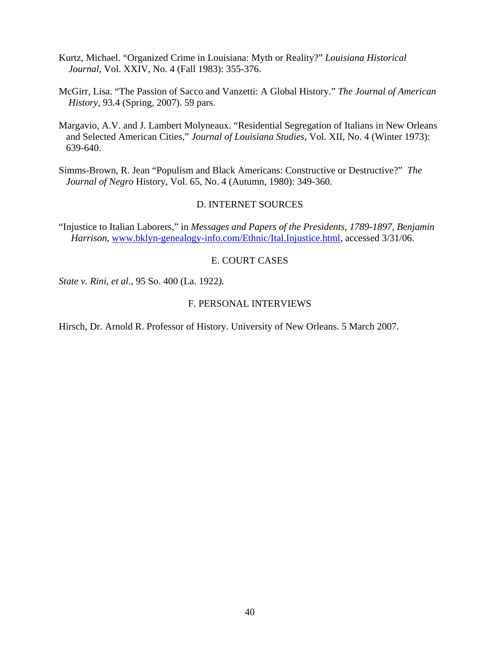- Kurtz, Michael. "Organized Crime in Louisiana: Myth or Reality?" *Louisiana Historical Journal*, Vol. XXIV, No. 4 (Fall 1983): 355-376.
- McGirr, Lisa. "The Passion of Sacco and Vanzetti: A Global History." *The Journal of American History*, 93.4 (Spring, 2007). 59 pars.
- Margavio, A.V. and J. Lambert Molyneaux. "Residential Segregation of Italians in New Orleans and Selected American Cities," *Journal of Louisiana Studies*, Vol. XII, No. 4 (Winter 1973): 639-640.

Simms-Brown, R. Jean "Populism and Black Americans: Constructive or Destructive?" *The Journal of Negro* History, Vol. 65, No. 4 (Autumn, 1980): 349-360.

## D. INTERNET SOURCES

"Injustice to Italian Laborers," in *Messages and Papers of the Presidents, 1789-1897, Benjamin Harrison*, www.bklyn-genealogy-info.com/Ethnic/Ital.Injustice.html, accessed 3/31/06.

# E. COURT CASES

*State v. Rini*, *et al.,* 95 So. 400 (La. 1922*).*

# F. PERSONAL INTERVIEWS

Hirsch, Dr. Arnold R. Professor of History. University of New Orleans. 5 March 2007.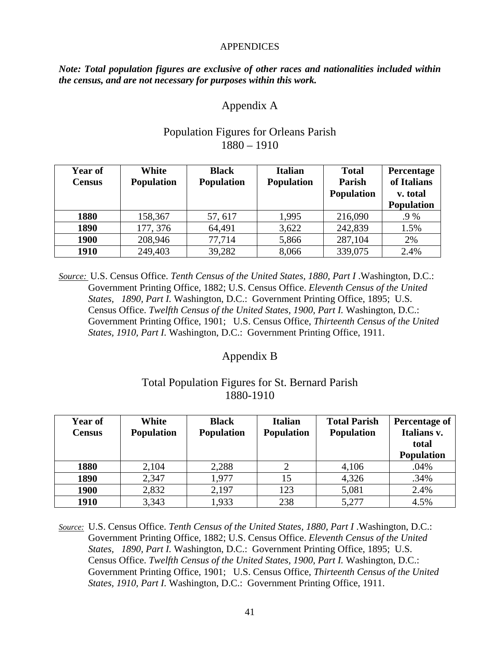### **APPENDICES**

*Note: Total population figures are exclusive of other races and nationalities included within the census, and are not necessary for purposes within this work.* 

# Appendix A

| <b>Year of</b><br><b>Census</b> | White<br><b>Population</b> | <b>Black</b><br><b>Population</b> | <b>Italian</b><br><b>Population</b> | <b>Total</b><br>Parish<br><b>Population</b> | Percentage<br>of Italians<br>v. total<br><b>Population</b> |
|---------------------------------|----------------------------|-----------------------------------|-------------------------------------|---------------------------------------------|------------------------------------------------------------|
| 1880                            | 158,367                    | 57, 617                           | 1,995                               | 216,090                                     | .9 %                                                       |
| 1890                            | 177, 376                   | 64,491                            | 3,622                               | 242,839                                     | 1.5%                                                       |
| 1900                            | 208,946                    | 77,714                            | 5,866                               | 287,104                                     | 2%                                                         |
| 1910                            | 249,403                    | 39,282                            | 8,066                               | 339,075                                     | 2.4%                                                       |

# Population Figures for Orleans Parish 1880 – 1910

*Source:* U.S. Census Office. *Tenth Census of the United States, 1880, Part I* .Washington, D.C.: Government Printing Office, 1882; U.S. Census Office. *Eleventh Census of the United States, 1890, Part I.* Washington, D.C.: Government Printing Office, 1895; U.S. Census Office. *Twelfth Census of the United States, 1900, Part I.* Washington, D.C.: Government Printing Office, 1901; U.S. Census Office, *Thirteenth Census of the United States, 1910, Part I.* Washington, D.C.: Government Printing Office, 1911.

# Appendix B

# Total Population Figures for St. Bernard Parish 1880-1910

| Year of<br><b>Census</b> | White<br><b>Population</b> | <b>Black</b><br><b>Population</b> | <b>Italian</b><br><b>Population</b> | <b>Total Parish</b><br><b>Population</b> | <b>Percentage of</b><br>Italians v.<br>total |
|--------------------------|----------------------------|-----------------------------------|-------------------------------------|------------------------------------------|----------------------------------------------|
|                          |                            |                                   |                                     |                                          | <b>Population</b>                            |
| 1880                     | 2,104                      | 2,288                             |                                     | 4,106                                    | .04%                                         |
| 1890                     | 2,347                      | 1,977                             | 15                                  | 4,326                                    | .34%                                         |
| 1900                     | 2,832                      | 2,197                             | 123                                 | 5,081                                    | 2.4%                                         |
| 1910                     | 3,343                      | 1,933                             | 238                                 | 5,277                                    | 4.5%                                         |

*Source:* U.S. Census Office. *Tenth Census of the United States, 1880, Part I* .Washington, D.C.: Government Printing Office, 1882; U.S. Census Office. *Eleventh Census of the United States, 1890, Part I.* Washington, D.C.: Government Printing Office, 1895; U.S. Census Office. *Twelfth Census of the United States, 1900, Part I.* Washington, D.C.: Government Printing Office, 1901; U.S. Census Office, *Thirteenth Census of the United States, 1910, Part I.* Washington, D.C.: Government Printing Office, 1911.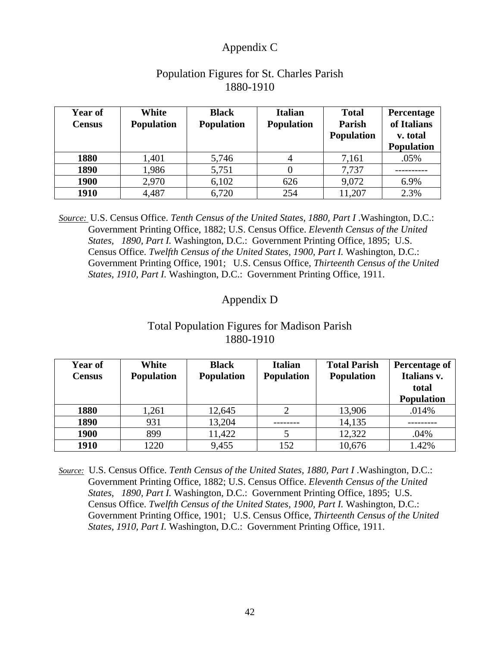# Appendix C

| Year of<br><b>Census</b> | White<br><b>Population</b> | <b>Black</b><br><b>Population</b> | <b>Italian</b><br><b>Population</b> | <b>Total</b><br>Parish<br><b>Population</b> | Percentage<br>of Italians<br>v. total<br><b>Population</b> |
|--------------------------|----------------------------|-----------------------------------|-------------------------------------|---------------------------------------------|------------------------------------------------------------|
| 1880                     | 1,401                      | 5,746                             |                                     | 7,161                                       | .05%                                                       |
| 1890                     | 1,986                      | 5,751                             |                                     | 7,737                                       |                                                            |
| 1900                     | 2,970                      | 6,102                             | 626                                 | 9,072                                       | 6.9%                                                       |
| 1910                     | 4,487                      | 6,720                             | 254                                 | 11,207                                      | 2.3%                                                       |

# Population Figures for St. Charles Parish 1880-1910

*Source:* U.S. Census Office. *Tenth Census of the United States, 1880, Part I* .Washington, D.C.: Government Printing Office, 1882; U.S. Census Office. *Eleventh Census of the United States, 1890, Part I.* Washington, D.C.: Government Printing Office, 1895; U.S. Census Office. *Twelfth Census of the United States, 1900, Part I.* Washington, D.C.: Government Printing Office, 1901; U.S. Census Office, *Thirteenth Census of the United States, 1910, Part I.* Washington, D.C.: Government Printing Office, 1911.

# Appendix D

# Total Population Figures for Madison Parish 1880-1910

| Year of<br><b>Census</b> | White<br><b>Population</b> | <b>Black</b><br><b>Population</b> | <b>Italian</b><br><b>Population</b> | <b>Total Parish</b><br><b>Population</b> | Percentage of<br>Italians v. |
|--------------------------|----------------------------|-----------------------------------|-------------------------------------|------------------------------------------|------------------------------|
|                          |                            |                                   |                                     |                                          | total                        |
|                          |                            |                                   |                                     |                                          | <b>Population</b>            |
| 1880                     | 1,261                      | 12,645                            |                                     | 13,906                                   | .014%                        |
| 1890                     | 931                        | 13,204                            |                                     | 14,135                                   |                              |
| 1900                     | 899                        | 11,422                            |                                     | 12,322                                   | .04%                         |
| 1910                     | 1220                       | 9,455                             | 152                                 | 10,676                                   | 1.42%                        |

*Source:* U.S. Census Office. *Tenth Census of the United States, 1880, Part I* .Washington, D.C.: Government Printing Office, 1882; U.S. Census Office. *Eleventh Census of the United States, 1890, Part I.* Washington, D.C.: Government Printing Office, 1895; U.S. Census Office. *Twelfth Census of the United States, 1900, Part I.* Washington, D.C.: Government Printing Office, 1901; U.S. Census Office, *Thirteenth Census of the United States, 1910, Part I.* Washington, D.C.: Government Printing Office, 1911.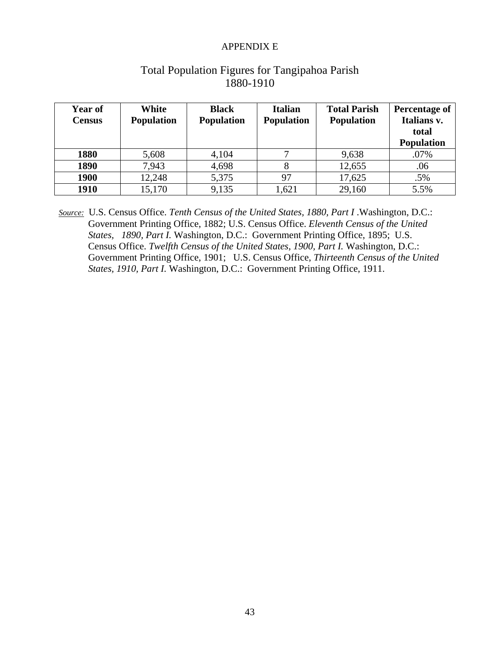### APPENDIX E

| Year of<br><b>Census</b> | White<br><b>Population</b> | <b>Black</b><br><b>Population</b> | <b>Italian</b><br><b>Population</b> | <b>Total Parish</b><br><b>Population</b> | <b>Percentage of</b><br>Italians v. |
|--------------------------|----------------------------|-----------------------------------|-------------------------------------|------------------------------------------|-------------------------------------|
|                          |                            |                                   |                                     |                                          | total                               |
|                          |                            |                                   |                                     |                                          | <b>Population</b>                   |
| 1880                     | 5,608                      | 4,104                             |                                     | 9,638                                    | .07%                                |
| 1890                     | 7,943                      | 4,698                             |                                     | 12,655                                   | .06                                 |
| 1900                     | 12,248                     | 5,375                             | 97                                  | 17,625                                   | .5%                                 |
| 1910                     | 15,170                     | 9,135                             | 1,621                               | 29,160                                   | 5.5%                                |

# Total Population Figures for Tangipahoa Parish 1880-1910

*Source:* U.S. Census Office. *Tenth Census of the United States, 1880, Part I* .Washington, D.C.: Government Printing Office, 1882; U.S. Census Office. *Eleventh Census of the United States, 1890, Part I.* Washington, D.C.: Government Printing Office, 1895; U.S. Census Office. *Twelfth Census of the United States, 1900, Part I.* Washington, D.C.: Government Printing Office, 1901; U.S. Census Office, *Thirteenth Census of the United States, 1910, Part I.* Washington, D.C.: Government Printing Office, 1911.